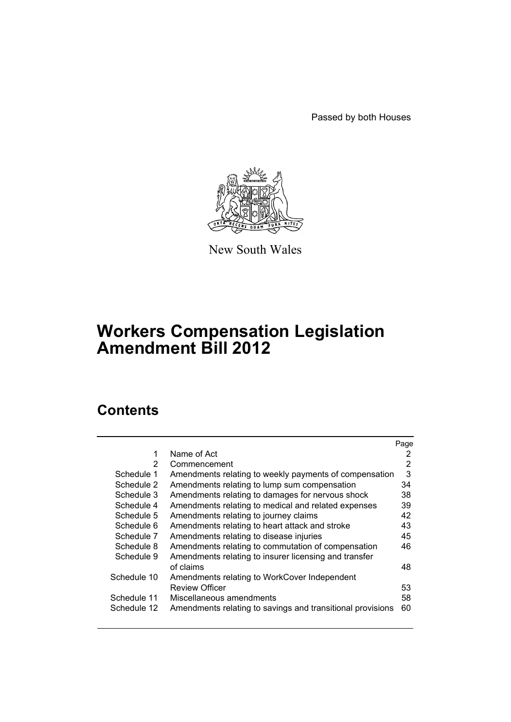Passed by both Houses



New South Wales

# **Workers Compensation Legislation Amendment Bill 2012**

# **Contents**

|                |                                                            | Page |
|----------------|------------------------------------------------------------|------|
| 1              | Name of Act                                                | 2    |
| $\overline{2}$ | Commencement                                               | 2    |
| Schedule 1     | Amendments relating to weekly payments of compensation     | 3    |
| Schedule 2     | Amendments relating to lump sum compensation               | 34   |
| Schedule 3     | Amendments relating to damages for nervous shock           | 38   |
| Schedule 4     | Amendments relating to medical and related expenses        | 39   |
| Schedule 5     | Amendments relating to journey claims                      | 42   |
| Schedule 6     | Amendments relating to heart attack and stroke             | 43   |
| Schedule 7     | Amendments relating to disease injuries                    | 45   |
| Schedule 8     | Amendments relating to commutation of compensation         | 46   |
| Schedule 9     | Amendments relating to insurer licensing and transfer      |      |
|                | of claims                                                  | 48   |
| Schedule 10    | Amendments relating to WorkCover Independent               |      |
|                | <b>Review Officer</b>                                      | 53   |
| Schedule 11    | Miscellaneous amendments                                   | 58   |
| Schedule 12    | Amendments relating to savings and transitional provisions | 60   |
|                |                                                            |      |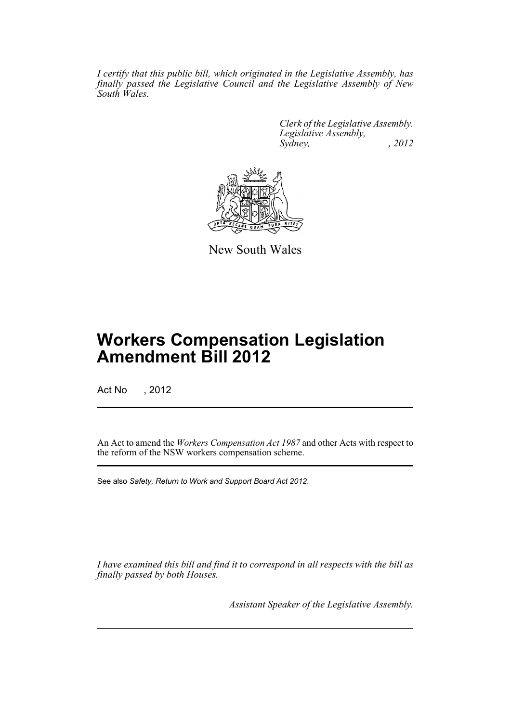*I certify that this public bill, which originated in the Legislative Assembly, has finally passed the Legislative Council and the Legislative Assembly of New South Wales.*

> *Clerk of the Legislative Assembly. Legislative Assembly, Sydney, , 2012*



New South Wales

# **Workers Compensation Legislation Amendment Bill 2012**

Act No , 2012

An Act to amend the *Workers Compensation Act 1987* and other Acts with respect to the reform of the NSW workers compensation scheme.

See also *Safety, Return to Work and Support Board Act 2012*.

*I have examined this bill and find it to correspond in all respects with the bill as finally passed by both Houses.*

*Assistant Speaker of the Legislative Assembly.*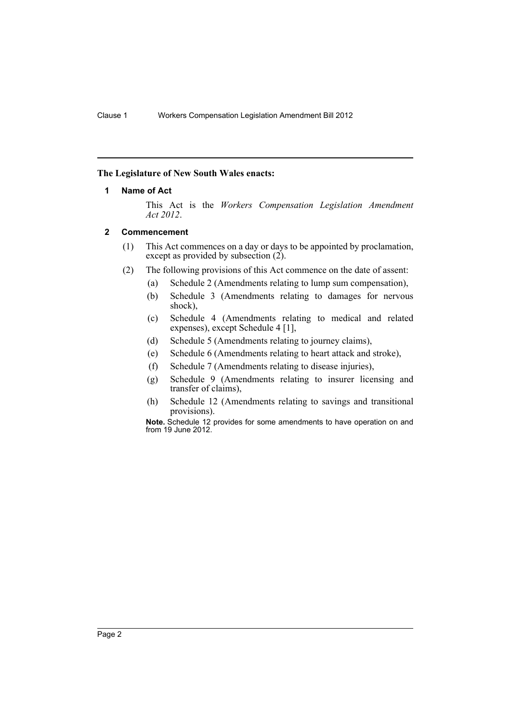### <span id="page-3-0"></span>**The Legislature of New South Wales enacts:**

### **1 Name of Act**

This Act is the *Workers Compensation Legislation Amendment Act 2012*.

### <span id="page-3-1"></span>**2 Commencement**

- (1) This Act commences on a day or days to be appointed by proclamation, except as provided by subsection  $(2)$ .
- (2) The following provisions of this Act commence on the date of assent:
	- (a) Schedule 2 (Amendments relating to lump sum compensation),
	- (b) Schedule 3 (Amendments relating to damages for nervous shock),
	- (c) Schedule 4 (Amendments relating to medical and related expenses), except Schedule 4 [1],
	- (d) Schedule 5 (Amendments relating to journey claims),
	- (e) Schedule 6 (Amendments relating to heart attack and stroke),
	- (f) Schedule 7 (Amendments relating to disease injuries),
	- (g) Schedule 9 (Amendments relating to insurer licensing and transfer of claims),
	- (h) Schedule 12 (Amendments relating to savings and transitional provisions).

**Note.** Schedule 12 provides for some amendments to have operation on and from 19 June 2012.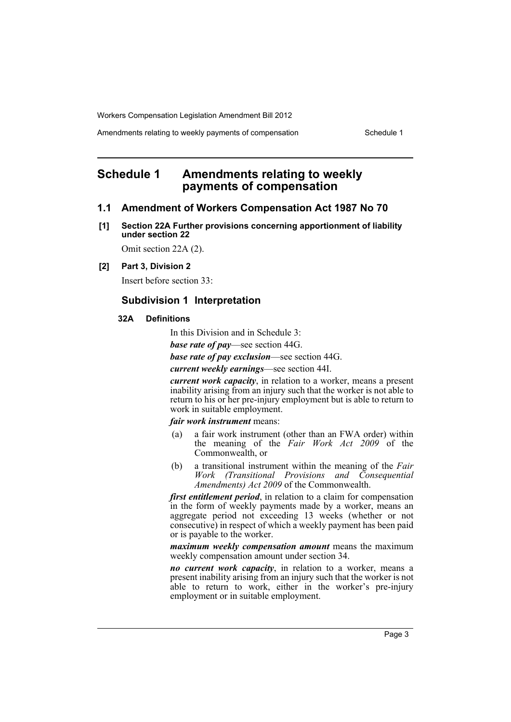Amendments relating to weekly payments of compensation Schedule 1

# <span id="page-4-0"></span>**Schedule 1 Amendments relating to weekly payments of compensation**

### **1.1 Amendment of Workers Compensation Act 1987 No 70**

**[1] Section 22A Further provisions concerning apportionment of liability under section 22**

Omit section 22A (2).

**[2] Part 3, Division 2**

Insert before section 33:

### **Subdivision 1 Interpretation**

#### **32A Definitions**

In this Division and in Schedule 3:

*base rate of pay*—see section 44G.

*base rate of pay exclusion*—see section 44G.

*current weekly earnings*—see section 44I.

*current work capacity*, in relation to a worker, means a present inability arising from an injury such that the worker is not able to return to his or her pre-injury employment but is able to return to work in suitable employment.

#### *fair work instrument* means:

- (a) a fair work instrument (other than an FWA order) within the meaning of the *Fair Work Act 2009* of the Commonwealth, or
- (b) a transitional instrument within the meaning of the *Fair Work (Transitional Provisions and Consequential Amendments) Act 2009* of the Commonwealth.

*first entitlement period*, in relation to a claim for compensation in the form of weekly payments made by a worker, means an aggregate period not exceeding 13 weeks (whether or not consecutive) in respect of which a weekly payment has been paid or is payable to the worker.

*maximum weekly compensation amount* means the maximum weekly compensation amount under section 34.

*no current work capacity*, in relation to a worker, means a present inability arising from an injury such that the worker is not able to return to work, either in the worker's pre-injury employment or in suitable employment.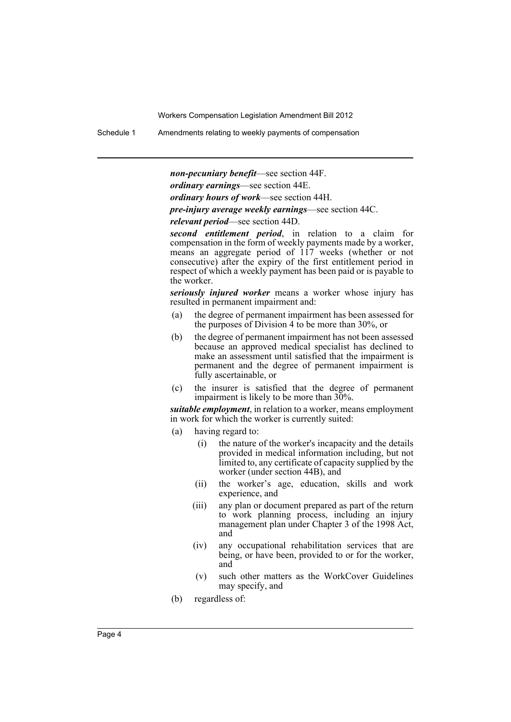Schedule 1 Amendments relating to weekly payments of compensation

*non-pecuniary benefit*—see section 44F.

*ordinary earnings*—see section 44E.

*ordinary hours of work*—see section 44H.

*pre-injury average weekly earnings*—see section 44C.

*relevant period*—see section 44D.

*second entitlement period*, in relation to a claim for compensation in the form of weekly payments made by a worker, means an aggregate period of 117 weeks (whether or not consecutive) after the expiry of the first entitlement period in respect of which a weekly payment has been paid or is payable to the worker.

*seriously injured worker* means a worker whose injury has resulted in permanent impairment and:

- (a) the degree of permanent impairment has been assessed for the purposes of Division 4 to be more than 30%, or
- (b) the degree of permanent impairment has not been assessed because an approved medical specialist has declined to make an assessment until satisfied that the impairment is permanent and the degree of permanent impairment is fully ascertainable, or
- (c) the insurer is satisfied that the degree of permanent impairment is likely to be more than 30%.

*suitable employment*, in relation to a worker, means employment in work for which the worker is currently suited:

- (a) having regard to:
	- (i) the nature of the worker's incapacity and the details provided in medical information including, but not limited to, any certificate of capacity supplied by the worker (under section 44B), and
	- (ii) the worker's age, education, skills and work experience, and
	- (iii) any plan or document prepared as part of the return to work planning process, including an injury management plan under Chapter 3 of the 1998 Act, and
	- (iv) any occupational rehabilitation services that are being, or have been, provided to or for the worker, and
	- (v) such other matters as the WorkCover Guidelines may specify, and
- (b) regardless of: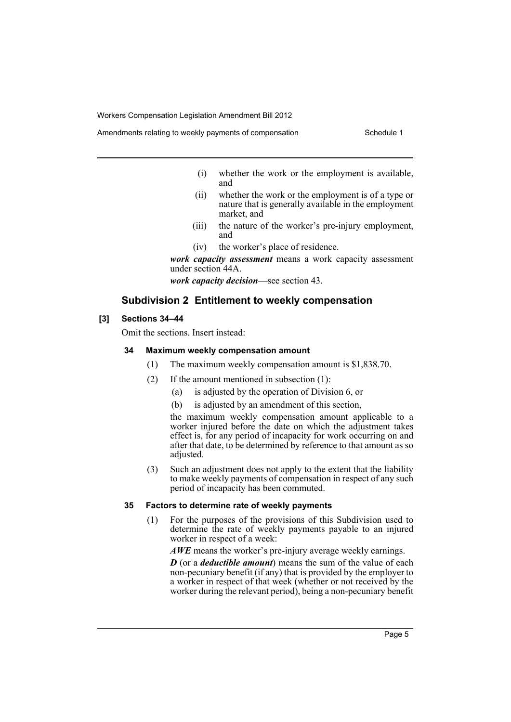- (i) whether the work or the employment is available, and
- (ii) whether the work or the employment is of a type or nature that is generally available in the employment market, and
- (iii) the nature of the worker's pre-injury employment, and
- (iv) the worker's place of residence.

*work capacity assessment* means a work capacity assessment under section 44A.

*work capacity decision*—see section 43.

### **Subdivision 2 Entitlement to weekly compensation**

#### **[3] Sections 34–44**

Omit the sections. Insert instead:

#### **34 Maximum weekly compensation amount**

- (1) The maximum weekly compensation amount is \$1,838.70.
- (2) If the amount mentioned in subsection (1):
	- (a) is adjusted by the operation of Division 6, or
	- (b) is adjusted by an amendment of this section,

the maximum weekly compensation amount applicable to a worker injured before the date on which the adjustment takes effect is, for any period of incapacity for work occurring on and after that date, to be determined by reference to that amount as so adjusted.

(3) Such an adjustment does not apply to the extent that the liability to make weekly payments of compensation in respect of any such period of incapacity has been commuted.

#### **35 Factors to determine rate of weekly payments**

(1) For the purposes of the provisions of this Subdivision used to determine the rate of weekly payments payable to an injured worker in respect of a week:

*AWE* means the worker's pre-injury average weekly earnings.

*D* (or a *deductible amount*) means the sum of the value of each non-pecuniary benefit (if any) that is provided by the employer to a worker in respect of that week (whether or not received by the worker during the relevant period), being a non-pecuniary benefit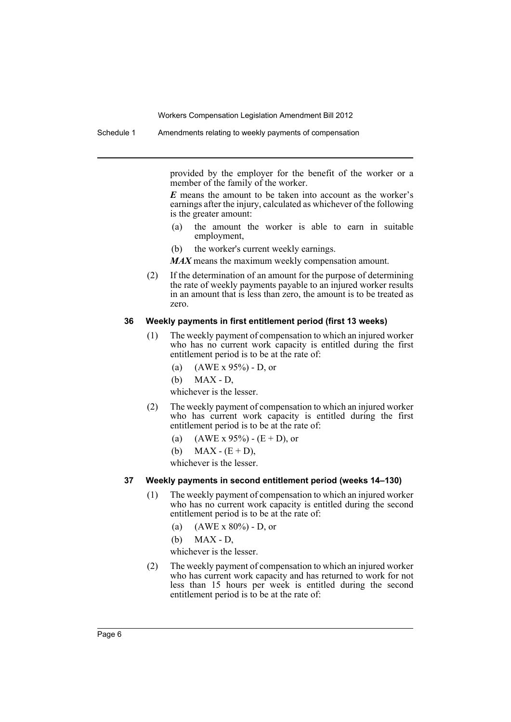Schedule 1 Amendments relating to weekly payments of compensation

provided by the employer for the benefit of the worker or a member of the family of the worker.

*E* means the amount to be taken into account as the worker's earnings after the injury, calculated as whichever of the following is the greater amount:

- (a) the amount the worker is able to earn in suitable employment,
- (b) the worker's current weekly earnings.

*MAX* means the maximum weekly compensation amount.

(2) If the determination of an amount for the purpose of determining the rate of weekly payments payable to an injured worker results in an amount that is less than zero, the amount is to be treated as zero.

#### **36 Weekly payments in first entitlement period (first 13 weeks)**

- (1) The weekly payment of compensation to which an injured worker who has no current work capacity is entitled during the first entitlement period is to be at the rate of:
	- (a) (AWE x 95%) D, or
	- (b) MAX D,

whichever is the lesser.

- (2) The weekly payment of compensation to which an injured worker who has current work capacity is entitled during the first entitlement period is to be at the rate of:
	- (a)  $(AWE \times 95\%) (E + D)$ , or
	- (b) MAX  $(E + D)$ ,

whichever is the lesser

#### **37 Weekly payments in second entitlement period (weeks 14–130)**

- (1) The weekly payment of compensation to which an injured worker who has no current work capacity is entitled during the second entitlement period is to be at the rate of:
	- (a)  $(AWE \times 80\%) D$ , or
	- (b) MAX D,

whichever is the lesser.

(2) The weekly payment of compensation to which an injured worker who has current work capacity and has returned to work for not less than 15 hours per week is entitled during the second entitlement period is to be at the rate of: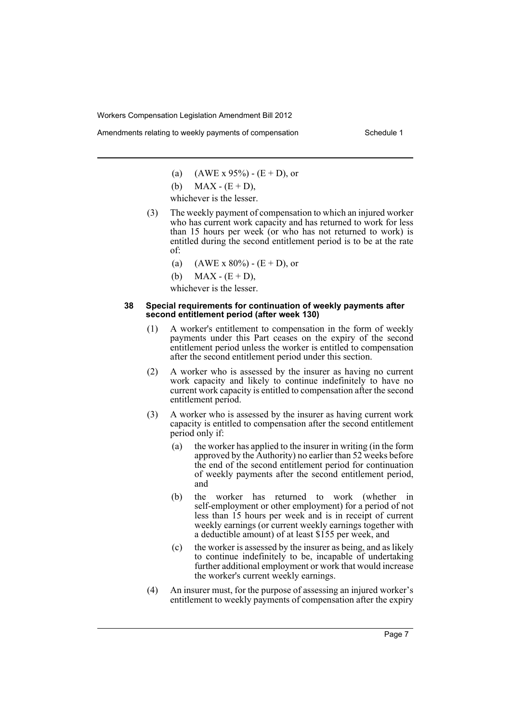Amendments relating to weekly payments of compensation Schedule 1

- (a)  $(AWE \times 95\%) (E + D)$ , or
- (b)  $MAX (E + D)$ ,

whichever is the lesser.

- (3) The weekly payment of compensation to which an injured worker who has current work capacity and has returned to work for less than 15 hours per week (or who has not returned to work) is entitled during the second entitlement period is to be at the rate of:
	- (a)  $(AWE \times 80\%) (E + D)$ , or
	- (b)  $MAX (E + D)$ ,

whichever is the lesser.

#### **38 Special requirements for continuation of weekly payments after second entitlement period (after week 130)**

- (1) A worker's entitlement to compensation in the form of weekly payments under this Part ceases on the expiry of the second entitlement period unless the worker is entitled to compensation after the second entitlement period under this section.
- (2) A worker who is assessed by the insurer as having no current work capacity and likely to continue indefinitely to have no current work capacity is entitled to compensation after the second entitlement period.
- (3) A worker who is assessed by the insurer as having current work capacity is entitled to compensation after the second entitlement period only if:
	- (a) the worker has applied to the insurer in writing (in the form approved by the Authority) no earlier than 52 weeks before the end of the second entitlement period for continuation of weekly payments after the second entitlement period, and
	- (b) the worker has returned to work (whether in self-employment or other employment) for a period of not less than 15 hours per week and is in receipt of current weekly earnings (or current weekly earnings together with a deductible amount) of at least \$155 per week, and
	- (c) the worker is assessed by the insurer as being, and as likely to continue indefinitely to be, incapable of undertaking further additional employment or work that would increase the worker's current weekly earnings.
- (4) An insurer must, for the purpose of assessing an injured worker's entitlement to weekly payments of compensation after the expiry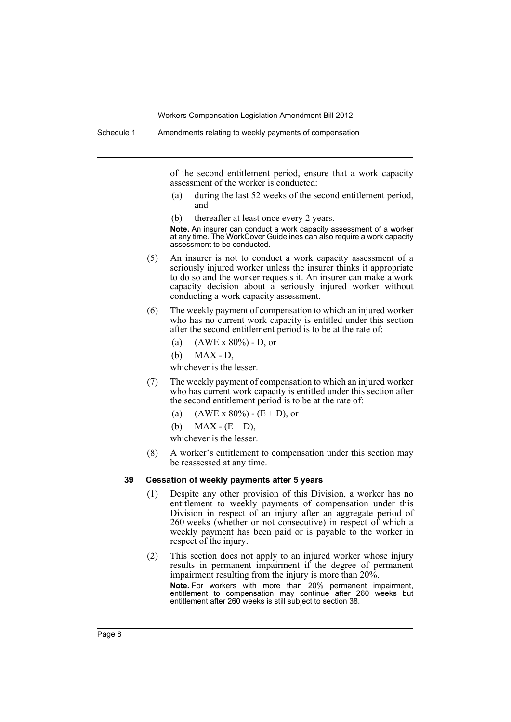of the second entitlement period, ensure that a work capacity assessment of the worker is conducted:

- (a) during the last 52 weeks of the second entitlement period, and
- (b) thereafter at least once every 2 years.

**Note.** An insurer can conduct a work capacity assessment of a worker at any time. The WorkCover Guidelines can also require a work capacity assessment to be conducted.

- (5) An insurer is not to conduct a work capacity assessment of a seriously injured worker unless the insurer thinks it appropriate to do so and the worker requests it. An insurer can make a work capacity decision about a seriously injured worker without conducting a work capacity assessment.
- (6) The weekly payment of compensation to which an injured worker who has no current work capacity is entitled under this section after the second entitlement period is to be at the rate of:
	- (a)  $(AWE \times 80\%) D$ , or
	- (b) MAX D,

whichever is the lesser.

- (7) The weekly payment of compensation to which an injured worker who has current work capacity is entitled under this section after the second entitlement period is to be at the rate of:
	- (a)  $(AWE \times 80\%) (E + D)$ , or
	- (b) MAX  $(E + D)$ ,

whichever is the lesser.

(8) A worker's entitlement to compensation under this section may be reassessed at any time.

#### **39 Cessation of weekly payments after 5 years**

- (1) Despite any other provision of this Division, a worker has no entitlement to weekly payments of compensation under this Division in respect of an injury after an aggregate period of 260 weeks (whether or not consecutive) in respect of which a weekly payment has been paid or is payable to the worker in respect of the injury.
- (2) This section does not apply to an injured worker whose injury results in permanent impairment if the degree of permanent impairment resulting from the injury is more than 20%.

**Note.** For workers with more than 20% permanent impairment, entitlement to compensation may continue after 260 weeks but entitlement after 260 weeks is still subject to section 38.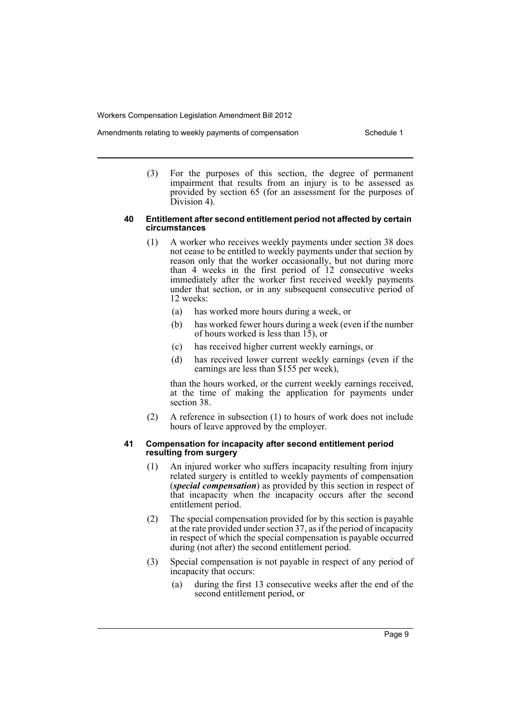- Amendments relating to weekly payments of compensation Schedule 1
	- (3) For the purposes of this section, the degree of permanent impairment that results from an injury is to be assessed as provided by section 65 (for an assessment for the purposes of Division 4).

#### **40 Entitlement after second entitlement period not affected by certain circumstances**

- (1) A worker who receives weekly payments under section 38 does not cease to be entitled to weekly payments under that section by reason only that the worker occasionally, but not during more than 4 weeks in the first period of 12 consecutive weeks immediately after the worker first received weekly payments under that section, or in any subsequent consecutive period of 12 weeks:
	- (a) has worked more hours during a week, or
	- (b) has worked fewer hours during a week (even if the number of hours worked is less than  $15$ ), or
	- (c) has received higher current weekly earnings, or
	- (d) has received lower current weekly earnings (even if the earnings are less than \$155 per week),

than the hours worked, or the current weekly earnings received, at the time of making the application for payments under section 38.

(2) A reference in subsection (1) to hours of work does not include hours of leave approved by the employer.

#### **41 Compensation for incapacity after second entitlement period resulting from surgery**

- (1) An injured worker who suffers incapacity resulting from injury related surgery is entitled to weekly payments of compensation (*special compensation*) as provided by this section in respect of that incapacity when the incapacity occurs after the second entitlement period.
- (2) The special compensation provided for by this section is payable at the rate provided under section 37, as if the period of incapacity in respect of which the special compensation is payable occurred during (not after) the second entitlement period.
- (3) Special compensation is not payable in respect of any period of incapacity that occurs:
	- (a) during the first 13 consecutive weeks after the end of the second entitlement period, or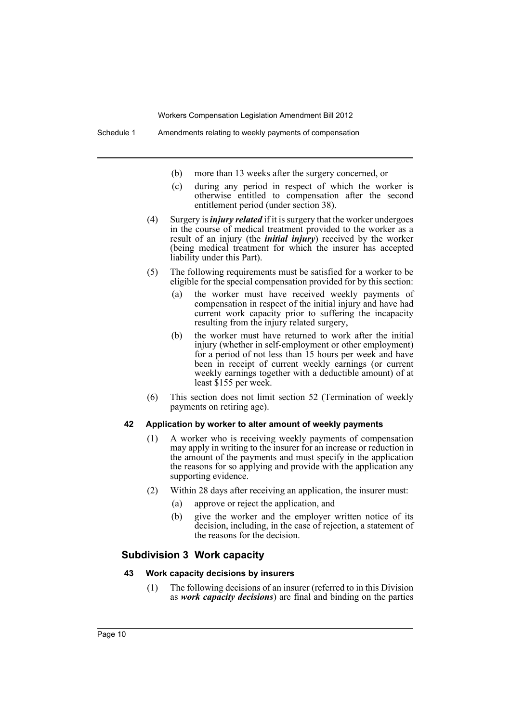- (b) more than 13 weeks after the surgery concerned, or
- (c) during any period in respect of which the worker is otherwise entitled to compensation after the second entitlement period (under section 38).
- (4) Surgery is *injury related* if it is surgery that the worker undergoes in the course of medical treatment provided to the worker as a result of an injury (the *initial injury*) received by the worker (being medical treatment for which the insurer has accepted liability under this Part).
- (5) The following requirements must be satisfied for a worker to be eligible for the special compensation provided for by this section:
	- (a) the worker must have received weekly payments of compensation in respect of the initial injury and have had current work capacity prior to suffering the incapacity resulting from the injury related surgery,
	- (b) the worker must have returned to work after the initial injury (whether in self-employment or other employment) for a period of not less than 15 hours per week and have been in receipt of current weekly earnings (or current weekly earnings together with a deductible amount) of at least \$155 per week.
- (6) This section does not limit section 52 (Termination of weekly payments on retiring age).

#### **42 Application by worker to alter amount of weekly payments**

- (1) A worker who is receiving weekly payments of compensation may apply in writing to the insurer for an increase or reduction in the amount of the payments and must specify in the application the reasons for so applying and provide with the application any supporting evidence.
- (2) Within 28 days after receiving an application, the insurer must:
	- (a) approve or reject the application, and
	- (b) give the worker and the employer written notice of its decision, including, in the case of rejection, a statement of the reasons for the decision.

### **Subdivision 3 Work capacity**

### **43 Work capacity decisions by insurers**

(1) The following decisions of an insurer (referred to in this Division as *work capacity decisions*) are final and binding on the parties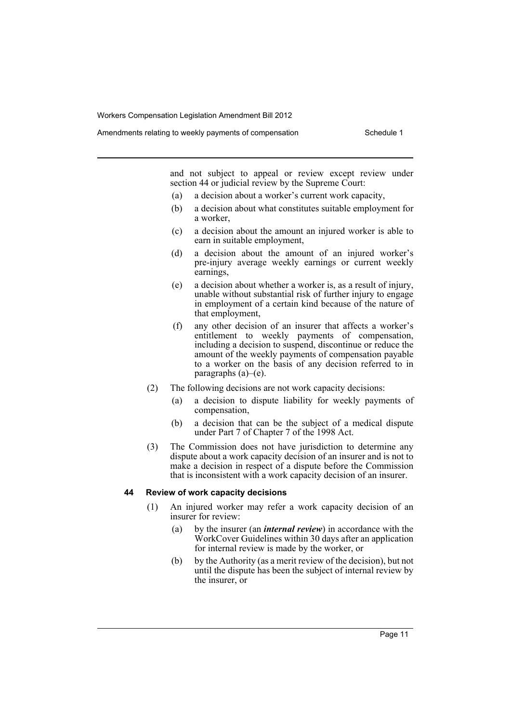Amendments relating to weekly payments of compensation Schedule 1

and not subject to appeal or review except review under section 44 or judicial review by the Supreme Court:

- (a) a decision about a worker's current work capacity,
- (b) a decision about what constitutes suitable employment for a worker,
- (c) a decision about the amount an injured worker is able to earn in suitable employment,
- (d) a decision about the amount of an injured worker's pre-injury average weekly earnings or current weekly earnings,
- (e) a decision about whether a worker is, as a result of injury, unable without substantial risk of further injury to engage in employment of a certain kind because of the nature of that employment,
- (f) any other decision of an insurer that affects a worker's entitlement to weekly payments of compensation, including a decision to suspend, discontinue or reduce the amount of the weekly payments of compensation payable to a worker on the basis of any decision referred to in paragraphs (a)–(e).
- (2) The following decisions are not work capacity decisions:
	- (a) a decision to dispute liability for weekly payments of compensation,
	- (b) a decision that can be the subject of a medical dispute under Part 7 of Chapter 7 of the 1998 Act.
- (3) The Commission does not have jurisdiction to determine any dispute about a work capacity decision of an insurer and is not to make a decision in respect of a dispute before the Commission that is inconsistent with a work capacity decision of an insurer.

#### **44 Review of work capacity decisions**

- (1) An injured worker may refer a work capacity decision of an insurer for review:
	- (a) by the insurer (an *internal review*) in accordance with the WorkCover Guidelines within 30 days after an application for internal review is made by the worker, or
	- (b) by the Authority (as a merit review of the decision), but not until the dispute has been the subject of internal review by the insurer, or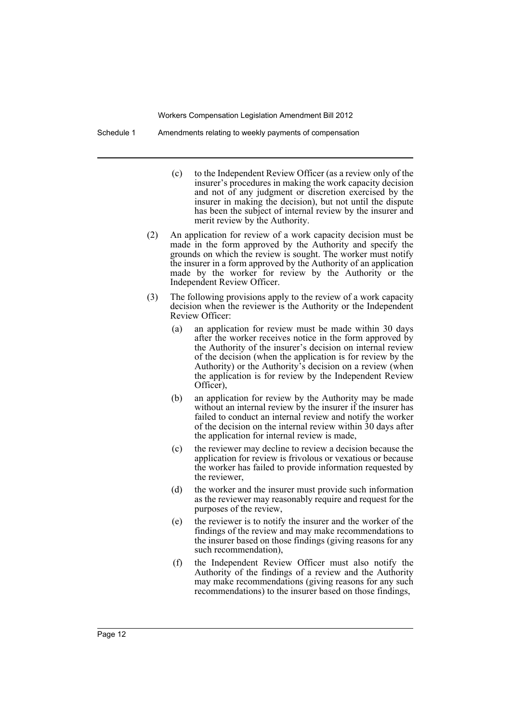Schedule 1 Amendments relating to weekly payments of compensation

- (c) to the Independent Review Officer (as a review only of the insurer's procedures in making the work capacity decision and not of any judgment or discretion exercised by the insurer in making the decision), but not until the dispute has been the subject of internal review by the insurer and merit review by the Authority.
- (2) An application for review of a work capacity decision must be made in the form approved by the Authority and specify the grounds on which the review is sought. The worker must notify the insurer in a form approved by the Authority of an application made by the worker for review by the Authority or the Independent Review Officer.
- (3) The following provisions apply to the review of a work capacity decision when the reviewer is the Authority or the Independent Review Officer:
	- (a) an application for review must be made within 30 days after the worker receives notice in the form approved by the Authority of the insurer's decision on internal review of the decision (when the application is for review by the Authority) or the Authority's decision on a review (when the application is for review by the Independent Review Officer),
	- (b) an application for review by the Authority may be made without an internal review by the insurer if the insurer has failed to conduct an internal review and notify the worker of the decision on the internal review within 30 days after the application for internal review is made,
	- (c) the reviewer may decline to review a decision because the application for review is frivolous or vexatious or because the worker has failed to provide information requested by the reviewer,
	- (d) the worker and the insurer must provide such information as the reviewer may reasonably require and request for the purposes of the review,
	- (e) the reviewer is to notify the insurer and the worker of the findings of the review and may make recommendations to the insurer based on those findings (giving reasons for any such recommendation),
	- (f) the Independent Review Officer must also notify the Authority of the findings of a review and the Authority may make recommendations (giving reasons for any such recommendations) to the insurer based on those findings,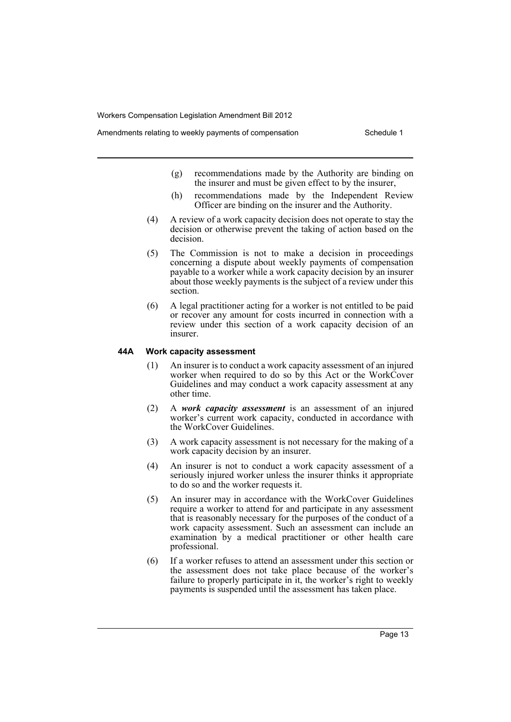- Amendments relating to weekly payments of compensation Schedule 1
	- (g) recommendations made by the Authority are binding on the insurer and must be given effect to by the insurer,
	- (h) recommendations made by the Independent Review Officer are binding on the insurer and the Authority.
	- (4) A review of a work capacity decision does not operate to stay the decision or otherwise prevent the taking of action based on the decision.
	- (5) The Commission is not to make a decision in proceedings concerning a dispute about weekly payments of compensation payable to a worker while a work capacity decision by an insurer about those weekly payments is the subject of a review under this section.
	- (6) A legal practitioner acting for a worker is not entitled to be paid or recover any amount for costs incurred in connection with a review under this section of a work capacity decision of an insurer.

#### **44A Work capacity assessment**

- (1) An insurer is to conduct a work capacity assessment of an injured worker when required to do so by this Act or the WorkCover Guidelines and may conduct a work capacity assessment at any other time.
- (2) A *work capacity assessment* is an assessment of an injured worker's current work capacity, conducted in accordance with the WorkCover Guidelines.
- (3) A work capacity assessment is not necessary for the making of a work capacity decision by an insurer.
- (4) An insurer is not to conduct a work capacity assessment of a seriously injured worker unless the insurer thinks it appropriate to do so and the worker requests it.
- (5) An insurer may in accordance with the WorkCover Guidelines require a worker to attend for and participate in any assessment that is reasonably necessary for the purposes of the conduct of a work capacity assessment. Such an assessment can include an examination by a medical practitioner or other health care professional.
- (6) If a worker refuses to attend an assessment under this section or the assessment does not take place because of the worker's failure to properly participate in it, the worker's right to weekly payments is suspended until the assessment has taken place.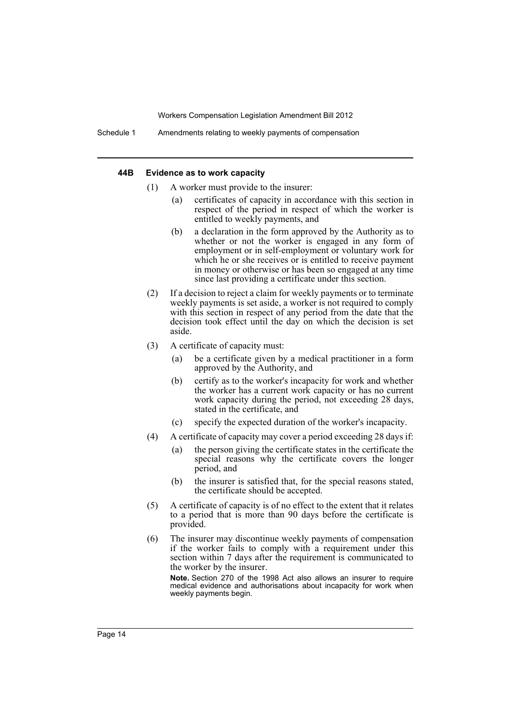Schedule 1 Amendments relating to weekly payments of compensation

#### **44B Evidence as to work capacity**

- (1) A worker must provide to the insurer:
	- (a) certificates of capacity in accordance with this section in respect of the period in respect of which the worker is entitled to weekly payments, and
	- (b) a declaration in the form approved by the Authority as to whether or not the worker is engaged in any form of employment or in self-employment or voluntary work for which he or she receives or is entitled to receive payment in money or otherwise or has been so engaged at any time since last providing a certificate under this section.
- (2) If a decision to reject a claim for weekly payments or to terminate weekly payments is set aside, a worker is not required to comply with this section in respect of any period from the date that the decision took effect until the day on which the decision is set aside.
- (3) A certificate of capacity must:
	- (a) be a certificate given by a medical practitioner in a form approved by the Authority, and
	- (b) certify as to the worker's incapacity for work and whether the worker has a current work capacity or has no current work capacity during the period, not exceeding 28 days, stated in the certificate, and
	- (c) specify the expected duration of the worker's incapacity.
- (4) A certificate of capacity may cover a period exceeding 28 days if:
	- (a) the person giving the certificate states in the certificate the special reasons why the certificate covers the longer period, and
	- (b) the insurer is satisfied that, for the special reasons stated, the certificate should be accepted.
- (5) A certificate of capacity is of no effect to the extent that it relates to a period that is more than 90 days before the certificate is provided.
- (6) The insurer may discontinue weekly payments of compensation if the worker fails to comply with a requirement under this section within 7 days after the requirement is communicated to the worker by the insurer.

**Note.** Section 270 of the 1998 Act also allows an insurer to require medical evidence and authorisations about incapacity for work when weekly payments begin.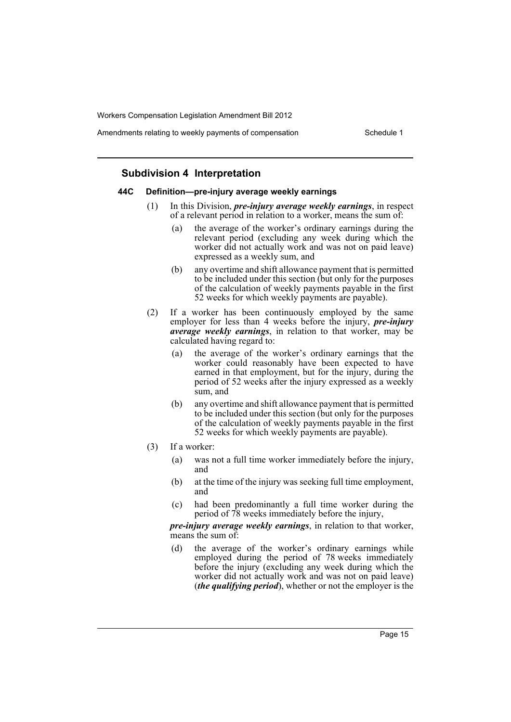Amendments relating to weekly payments of compensation Schedule 1

### **Subdivision 4 Interpretation**

#### **44C Definition—pre-injury average weekly earnings**

- (1) In this Division, *pre-injury average weekly earnings*, in respect of a relevant period in relation to a worker, means the sum of:
	- (a) the average of the worker's ordinary earnings during the relevant period (excluding any week during which the worker did not actually work and was not on paid leave) expressed as a weekly sum, and
	- (b) any overtime and shift allowance payment that is permitted to be included under this section (but only for the purposes of the calculation of weekly payments payable in the first 52 weeks for which weekly payments are payable).
- (2) If a worker has been continuously employed by the same employer for less than 4 weeks before the injury, *pre-injury average weekly earnings*, in relation to that worker, may be calculated having regard to:
	- (a) the average of the worker's ordinary earnings that the worker could reasonably have been expected to have earned in that employment, but for the injury, during the period of 52 weeks after the injury expressed as a weekly sum, and
	- (b) any overtime and shift allowance payment that is permitted to be included under this section (but only for the purposes of the calculation of weekly payments payable in the first 52 weeks for which weekly payments are payable).
- (3) If a worker:
	- (a) was not a full time worker immediately before the injury, and
	- (b) at the time of the injury was seeking full time employment, and
	- (c) had been predominantly a full time worker during the period of 78 weeks immediately before the injury,

*pre-injury average weekly earnings*, in relation to that worker, means the sum of:

(d) the average of the worker's ordinary earnings while employed during the period of 78 weeks immediately before the injury (excluding any week during which the worker did not actually work and was not on paid leave) (*the qualifying period*), whether or not the employer is the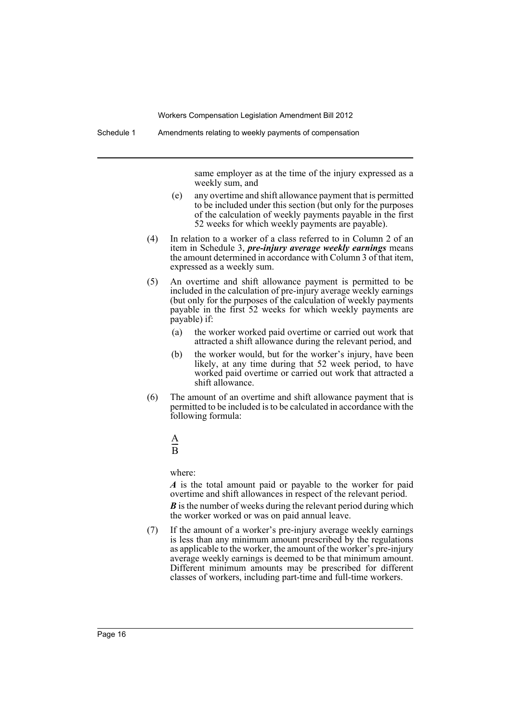same employer as at the time of the injury expressed as a weekly sum, and

- (e) any overtime and shift allowance payment that is permitted to be included under this section (but only for the purposes of the calculation of weekly payments payable in the first 52 weeks for which weekly payments are payable).
- (4) In relation to a worker of a class referred to in Column 2 of an item in Schedule 3, *pre-injury average weekly earnings* means the amount determined in accordance with Column 3 of that item, expressed as a weekly sum.
- (5) An overtime and shift allowance payment is permitted to be included in the calculation of pre-injury average weekly earnings (but only for the purposes of the calculation of weekly payments payable in the first 52 weeks for which weekly payments are payable) if:
	- (a) the worker worked paid overtime or carried out work that attracted a shift allowance during the relevant period, and
	- (b) the worker would, but for the worker's injury, have been likely, at any time during that 52 week period, to have worked paid overtime or carried out work that attracted a shift allowance.
- (6) The amount of an overtime and shift allowance payment that is permitted to be included is to be calculated in accordance with the following formula:

#### A B  $\frac{A}{D}$

where:

*A* is the total amount paid or payable to the worker for paid overtime and shift allowances in respect of the relevant period.

*B* is the number of weeks during the relevant period during which the worker worked or was on paid annual leave.

(7) If the amount of a worker's pre-injury average weekly earnings is less than any minimum amount prescribed by the regulations as applicable to the worker, the amount of the worker's pre-injury average weekly earnings is deemed to be that minimum amount. Different minimum amounts may be prescribed for different classes of workers, including part-time and full-time workers.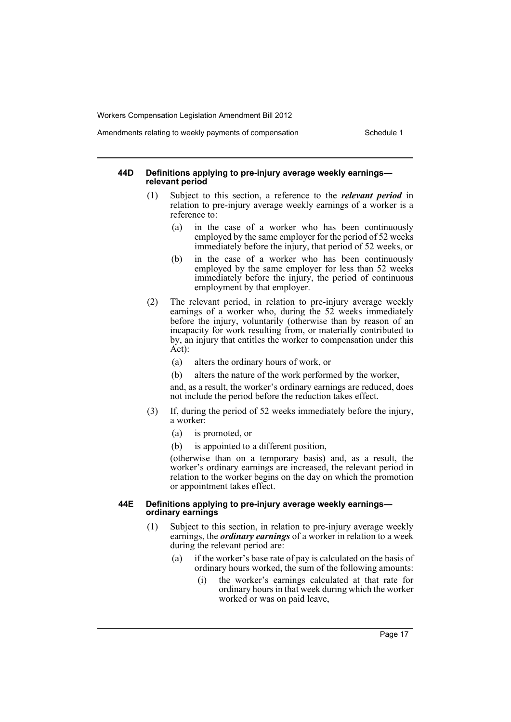#### Amendments relating to weekly payments of compensation Schedule 1

#### **44D Definitions applying to pre-injury average weekly earnings relevant period**

- (1) Subject to this section, a reference to the *relevant period* in relation to pre-injury average weekly earnings of a worker is a reference to:
	- (a) in the case of a worker who has been continuously employed by the same employer for the period of 52 weeks immediately before the injury, that period of 52 weeks, or
	- (b) in the case of a worker who has been continuously employed by the same employer for less than 52 weeks immediately before the injury, the period of continuous employment by that employer.
- (2) The relevant period, in relation to pre-injury average weekly earnings of a worker who, during the 52 weeks immediately before the injury, voluntarily (otherwise than by reason of an incapacity for work resulting from, or materially contributed to by, an injury that entitles the worker to compensation under this Act):
	- (a) alters the ordinary hours of work, or
	- (b) alters the nature of the work performed by the worker,

and, as a result, the worker's ordinary earnings are reduced, does not include the period before the reduction takes effect.

- (3) If, during the period of 52 weeks immediately before the injury, a worker:
	- (a) is promoted, or
	- (b) is appointed to a different position,

(otherwise than on a temporary basis) and, as a result, the worker's ordinary earnings are increased, the relevant period in relation to the worker begins on the day on which the promotion or appointment takes effect.

#### **44E Definitions applying to pre-injury average weekly earnings ordinary earnings**

- (1) Subject to this section, in relation to pre-injury average weekly earnings, the *ordinary earnings* of a worker in relation to a week during the relevant period are:
	- (a) if the worker's base rate of pay is calculated on the basis of ordinary hours worked, the sum of the following amounts:
		- (i) the worker's earnings calculated at that rate for ordinary hours in that week during which the worker worked or was on paid leave,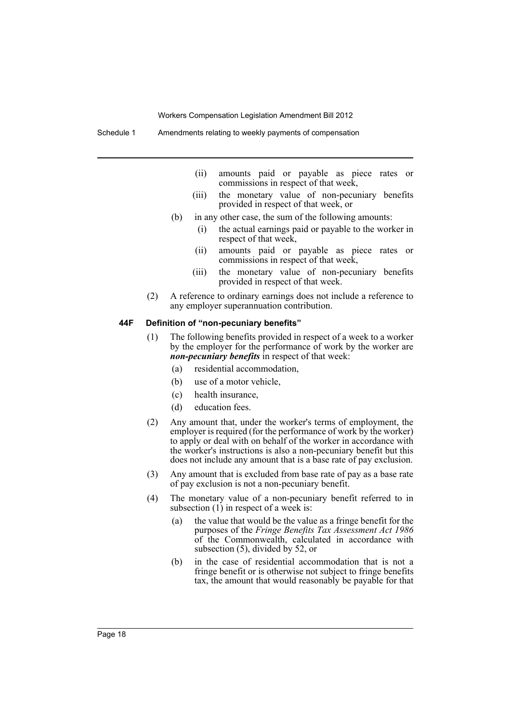Schedule 1 Amendments relating to weekly payments of compensation

- (ii) amounts paid or payable as piece rates or commissions in respect of that week,
- (iii) the monetary value of non-pecuniary benefits provided in respect of that week, or
- (b) in any other case, the sum of the following amounts:
	- (i) the actual earnings paid or payable to the worker in respect of that week,
	- (ii) amounts paid or payable as piece rates or commissions in respect of that week,
	- (iii) the monetary value of non-pecuniary benefits provided in respect of that week.
- (2) A reference to ordinary earnings does not include a reference to any employer superannuation contribution.

#### **44F Definition of "non-pecuniary benefits"**

- (1) The following benefits provided in respect of a week to a worker by the employer for the performance of work by the worker are *non-pecuniary benefits* in respect of that week:
	- (a) residential accommodation,
	- (b) use of a motor vehicle,
	- (c) health insurance,
	- (d) education fees.
- (2) Any amount that, under the worker's terms of employment, the employer is required (for the performance of work by the worker) to apply or deal with on behalf of the worker in accordance with the worker's instructions is also a non-pecuniary benefit but this does not include any amount that is a base rate of pay exclusion.
- (3) Any amount that is excluded from base rate of pay as a base rate of pay exclusion is not a non-pecuniary benefit.
- (4) The monetary value of a non-pecuniary benefit referred to in subsection (1) in respect of a week is:
	- (a) the value that would be the value as a fringe benefit for the purposes of the *Fringe Benefits Tax Assessment Act 1986* of the Commonwealth, calculated in accordance with subsection (5), divided by 52, or
	- (b) in the case of residential accommodation that is not a fringe benefit or is otherwise not subject to fringe benefits tax, the amount that would reasonably be payable for that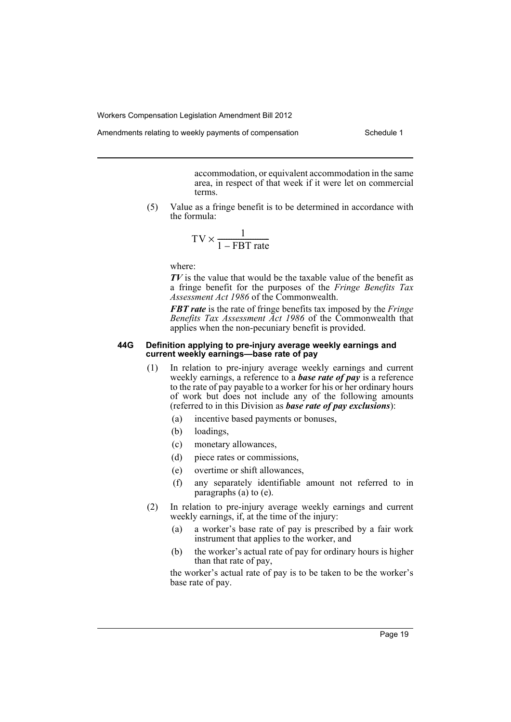Amendments relating to weekly payments of compensation Schedule 1

accommodation, or equivalent accommodation in the same area, in respect of that week if it were let on commercial terms.

(5) Value as a fringe benefit is to be determined in accordance with the formula:

$$
TV \times \frac{1}{1 - FBT\ rate}
$$

where:

*TV* is the value that would be the taxable value of the benefit as a fringe benefit for the purposes of the *Fringe Benefits Tax Assessment Act 1986* of the Commonwealth.

*FBT rate* is the rate of fringe benefits tax imposed by the *Fringe Benefits Tax Assessment Act 1986* of the Commonwealth that applies when the non-pecuniary benefit is provided.

#### **44G Definition applying to pre-injury average weekly earnings and current weekly earnings—base rate of pay**

- (1) In relation to pre-injury average weekly earnings and current weekly earnings, a reference to a *base rate of pay* is a reference to the rate of pay payable to a worker for his or her ordinary hours of work but does not include any of the following amounts (referred to in this Division as *base rate of pay exclusions*):
	- (a) incentive based payments or bonuses,
	- (b) loadings,
	- (c) monetary allowances,
	- (d) piece rates or commissions,
	- (e) overtime or shift allowances,
	- (f) any separately identifiable amount not referred to in paragraphs (a) to (e).
- (2) In relation to pre-injury average weekly earnings and current weekly earnings, if, at the time of the injury:
	- (a) a worker's base rate of pay is prescribed by a fair work instrument that applies to the worker, and
	- (b) the worker's actual rate of pay for ordinary hours is higher than that rate of pay,

the worker's actual rate of pay is to be taken to be the worker's base rate of pay.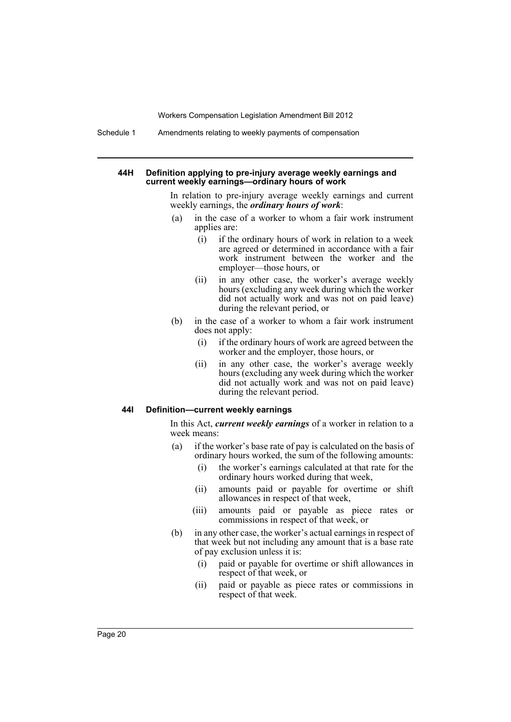Schedule 1 Amendments relating to weekly payments of compensation

#### **44H Definition applying to pre-injury average weekly earnings and current weekly earnings—ordinary hours of work**

In relation to pre-injury average weekly earnings and current weekly earnings, the *ordinary hours of work*:

- (a) in the case of a worker to whom a fair work instrument applies are:
	- (i) if the ordinary hours of work in relation to a week are agreed or determined in accordance with a fair work instrument between the worker and the employer—those hours, or
	- (ii) in any other case, the worker's average weekly hours (excluding any week during which the worker did not actually work and was not on paid leave) during the relevant period, or
- (b) in the case of a worker to whom a fair work instrument does not apply:
	- (i) if the ordinary hours of work are agreed between the worker and the employer, those hours, or
	- (ii) in any other case, the worker's average weekly hours (excluding any week during which the worker did not actually work and was not on paid leave) during the relevant period.

#### **44I Definition—current weekly earnings**

In this Act, *current weekly earnings* of a worker in relation to a week means:

- (a) if the worker's base rate of pay is calculated on the basis of ordinary hours worked, the sum of the following amounts:
	- (i) the worker's earnings calculated at that rate for the ordinary hours worked during that week,
	- (ii) amounts paid or payable for overtime or shift allowances in respect of that week,
	- (iii) amounts paid or payable as piece rates or commissions in respect of that week, or
- (b) in any other case, the worker's actual earnings in respect of that week but not including any amount that is a base rate of pay exclusion unless it is:
	- (i) paid or payable for overtime or shift allowances in respect of that week, or
	- (ii) paid or payable as piece rates or commissions in respect of that week.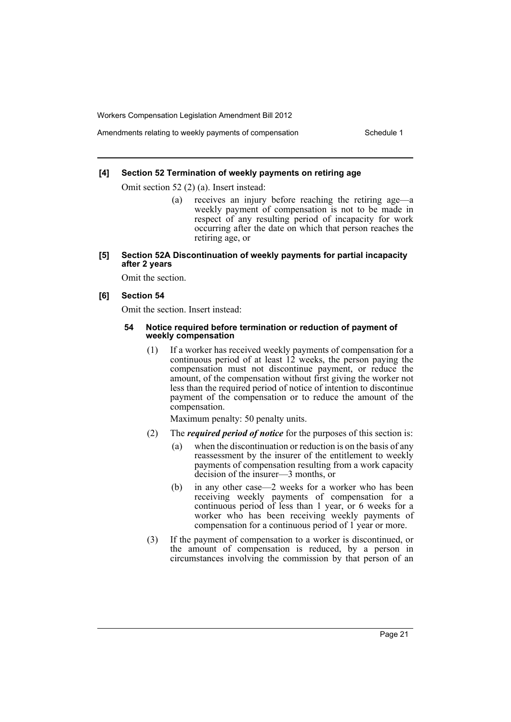Amendments relating to weekly payments of compensation Schedule 1

#### **[4] Section 52 Termination of weekly payments on retiring age**

Omit section 52 (2) (a). Insert instead:

- (a) receives an injury before reaching the retiring age—a weekly payment of compensation is not to be made in respect of any resulting period of incapacity for work occurring after the date on which that person reaches the retiring age, or
- **[5] Section 52A Discontinuation of weekly payments for partial incapacity after 2 years**

Omit the section.

#### **[6] Section 54**

Omit the section. Insert instead:

#### **54 Notice required before termination or reduction of payment of weekly compensation**

(1) If a worker has received weekly payments of compensation for a continuous period of at least  $12$  weeks, the person paying the compensation must not discontinue payment, or reduce the amount, of the compensation without first giving the worker not less than the required period of notice of intention to discontinue payment of the compensation or to reduce the amount of the compensation.

Maximum penalty: 50 penalty units.

- (2) The *required period of notice* for the purposes of this section is:
	- (a) when the discontinuation or reduction is on the basis of any reassessment by the insurer of the entitlement to weekly payments of compensation resulting from a work capacity decision of the insurer—3 months, or
	- (b) in any other case—2 weeks for a worker who has been receiving weekly payments of compensation for a continuous period of less than 1 year, or 6 weeks for a worker who has been receiving weekly payments of compensation for a continuous period of 1 year or more.
- (3) If the payment of compensation to a worker is discontinued, or the amount of compensation is reduced, by a person in circumstances involving the commission by that person of an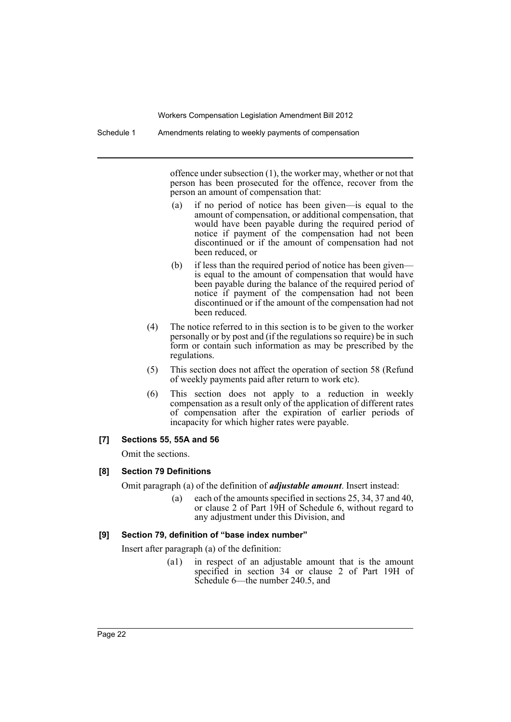offence under subsection (1), the worker may, whether or not that person has been prosecuted for the offence, recover from the person an amount of compensation that:

- (a) if no period of notice has been given—is equal to the amount of compensation, or additional compensation, that would have been payable during the required period of notice if payment of the compensation had not been discontinued or if the amount of compensation had not been reduced, or
- (b) if less than the required period of notice has been given is equal to the amount of compensation that would have been payable during the balance of the required period of notice if payment of the compensation had not been discontinued or if the amount of the compensation had not been reduced.
- (4) The notice referred to in this section is to be given to the worker personally or by post and (if the regulations so require) be in such form or contain such information as may be prescribed by the regulations.
- (5) This section does not affect the operation of section 58 (Refund of weekly payments paid after return to work etc).
- (6) This section does not apply to a reduction in weekly compensation as a result only of the application of different rates of compensation after the expiration of earlier periods of incapacity for which higher rates were payable.

#### **[7] Sections 55, 55A and 56**

Omit the sections.

#### **[8] Section 79 Definitions**

Omit paragraph (a) of the definition of *adjustable amount*. Insert instead:

(a) each of the amounts specified in sections 25, 34, 37 and 40, or clause 2 of Part 19H of Schedule 6, without regard to any adjustment under this Division, and

#### **[9] Section 79, definition of "base index number"**

Insert after paragraph (a) of the definition:

(a1) in respect of an adjustable amount that is the amount specified in section 34 or clause 2 of Part 19H of Schedule 6—the number 240.5, and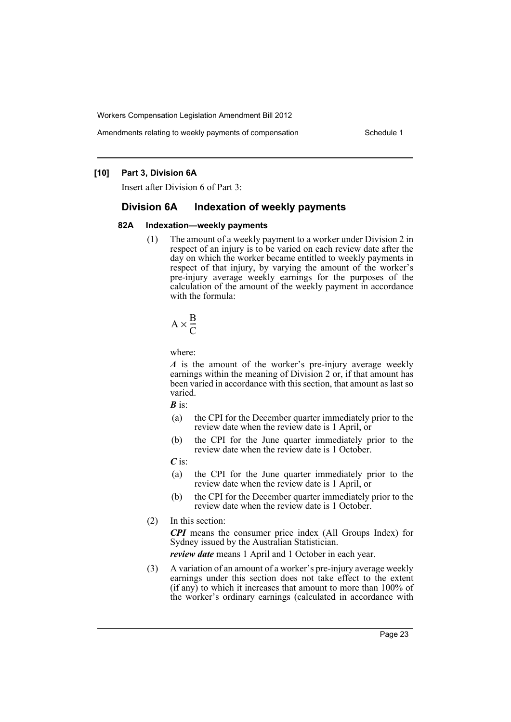Amendments relating to weekly payments of compensation Schedule 1

### **[10] Part 3, Division 6A**

Insert after Division 6 of Part 3:

### **Division 6A Indexation of weekly payments**

#### **82A Indexation—weekly payments**

(1) The amount of a weekly payment to a worker under Division 2 in respect of an injury is to be varied on each review date after the day on which the worker became entitled to weekly payments in respect of that injury, by varying the amount of the worker's pre-injury average weekly earnings for the purposes of the calculation of the amount of the weekly payment in accordance with the formula:

$$
A \times \frac{B}{C}
$$

where:

*A* is the amount of the worker's pre-injury average weekly earnings within the meaning of Division 2 or, if that amount has been varied in accordance with this section, that amount as last so varied.

*B* is:

- (a) the CPI for the December quarter immediately prior to the review date when the review date is 1 April, or
- (b) the CPI for the June quarter immediately prior to the review date when the review date is 1 October.

*C* is:

- (a) the CPI for the June quarter immediately prior to the review date when the review date is 1 April, or
- (b) the CPI for the December quarter immediately prior to the review date when the review date is 1 October.
- (2) In this section:

*CPI* means the consumer price index (All Groups Index) for Sydney issued by the Australian Statistician.

*review date* means 1 April and 1 October in each year.

(3) A variation of an amount of a worker's pre-injury average weekly earnings under this section does not take effect to the extent  $(i$ f any) to which it increases that amount to more than 100% of the worker's ordinary earnings (calculated in accordance with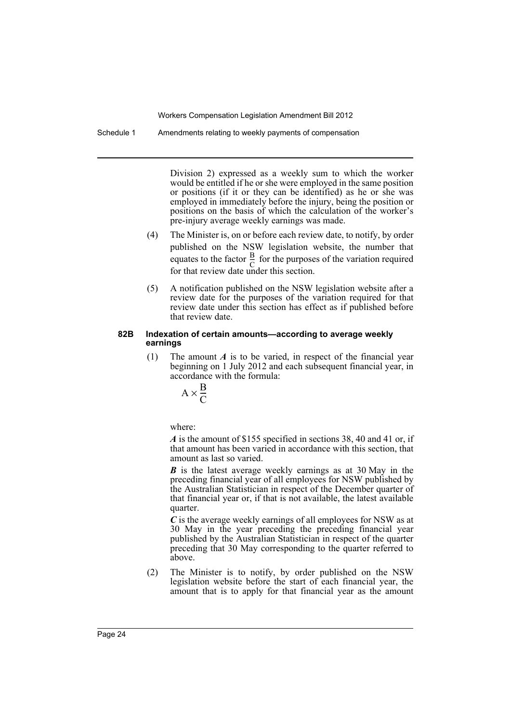Schedule 1 Amendments relating to weekly payments of compensation

Division 2) expressed as a weekly sum to which the worker would be entitled if he or she were employed in the same position or positions (if it or they can be identified) as he or she was employed in immediately before the injury, being the position or positions on the basis of which the calculation of the worker's pre-injury average weekly earnings was made.

- (4) The Minister is, on or before each review date, to notify, by order published on the NSW legislation website, the number that equates to the factor  $\frac{B}{C}$  for the purposes of the variation required for that review date under this section. B  $\frac{D}{C}$
- (5) A notification published on the NSW legislation website after a review date for the purposes of the variation required for that review date under this section has effect as if published before that review date.

#### **82B Indexation of certain amounts—according to average weekly earnings**

(1) The amount *A* is to be varied, in respect of the financial year beginning on 1 July 2012 and each subsequent financial year, in accordance with the formula:

$$
A \times \frac{B}{C}
$$

where:

*A* is the amount of \$155 specified in sections 38, 40 and 41 or, if that amount has been varied in accordance with this section, that amount as last so varied.

*B* is the latest average weekly earnings as at 30 May in the preceding financial year of all employees for NSW published by the Australian Statistician in respect of the December quarter of that financial year or, if that is not available, the latest available quarter.

*C* is the average weekly earnings of all employees for NSW as at 30 May in the year preceding the preceding financial year published by the Australian Statistician in respect of the quarter preceding that 30 May corresponding to the quarter referred to above.

(2) The Minister is to notify, by order published on the NSW legislation website before the start of each financial year, the amount that is to apply for that financial year as the amount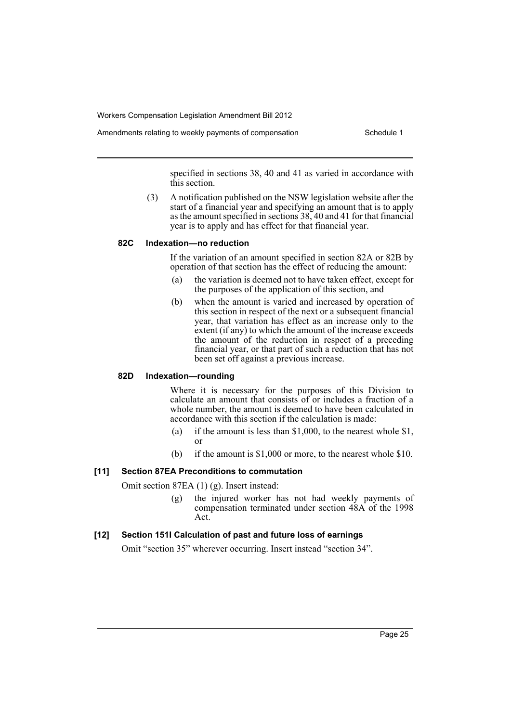Amendments relating to weekly payments of compensation Schedule 1

specified in sections 38, 40 and 41 as varied in accordance with this section.

(3) A notification published on the NSW legislation website after the start of a financial year and specifying an amount that is to apply as the amount specified in sections 38, 40 and 41 for that financial year is to apply and has effect for that financial year.

### **82C Indexation—no reduction**

If the variation of an amount specified in section 82A or 82B by operation of that section has the effect of reducing the amount:

- (a) the variation is deemed not to have taken effect, except for the purposes of the application of this section, and
- (b) when the amount is varied and increased by operation of this section in respect of the next or a subsequent financial year, that variation has effect as an increase only to the extent (if any) to which the amount of the increase exceeds the amount of the reduction in respect of a preceding financial year, or that part of such a reduction that has not been set off against a previous increase.

### **82D Indexation—rounding**

Where it is necessary for the purposes of this Division to calculate an amount that consists of or includes a fraction of a whole number, the amount is deemed to have been calculated in accordance with this section if the calculation is made:

- (a) if the amount is less than \$1,000, to the nearest whole \$1, or
- (b) if the amount is \$1,000 or more, to the nearest whole \$10.

### **[11] Section 87EA Preconditions to commutation**

Omit section 87EA (1) (g). Insert instead:

(g) the injured worker has not had weekly payments of compensation terminated under section 48A of the 1998 Act.

#### **[12] Section 151I Calculation of past and future loss of earnings**

Omit "section 35" wherever occurring. Insert instead "section 34".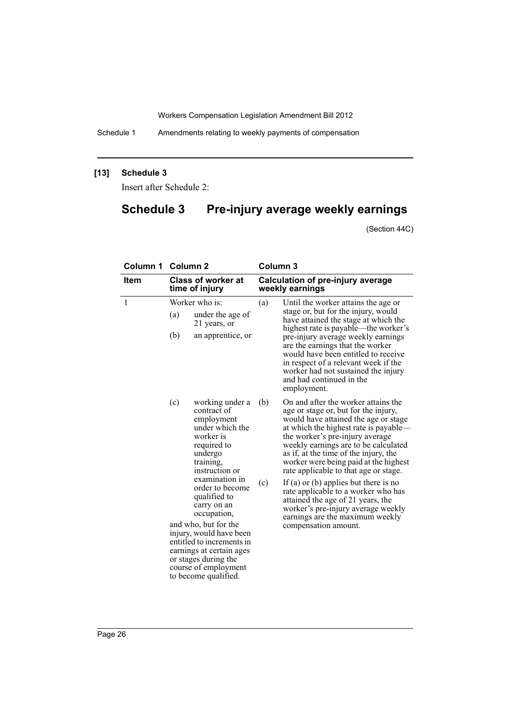Schedule 1 Amendments relating to weekly payments of compensation

### **[13] Schedule 3**

Insert after Schedule 2:

# **Schedule 3 Pre-injury average weekly earnings**

(Section 44C)

| <b>Column 1</b> | <b>Column 2</b>                             |                                                                                                                                                                                                                          | Column <sub>3</sub>                        |                                                                                                                                                                                                                                                                                                                                                                                                                                                                                                                                                                  |
|-----------------|---------------------------------------------|--------------------------------------------------------------------------------------------------------------------------------------------------------------------------------------------------------------------------|--------------------------------------------|------------------------------------------------------------------------------------------------------------------------------------------------------------------------------------------------------------------------------------------------------------------------------------------------------------------------------------------------------------------------------------------------------------------------------------------------------------------------------------------------------------------------------------------------------------------|
| <b>Item</b>     | <b>Class of worker at</b><br>time of injury |                                                                                                                                                                                                                          |                                            | <b>Calculation of pre-injury average</b><br>weekly earnings                                                                                                                                                                                                                                                                                                                                                                                                                                                                                                      |
| $\mathbf{1}$    | Worker who is:                              |                                                                                                                                                                                                                          | (a)<br>Until the worker attains the age or |                                                                                                                                                                                                                                                                                                                                                                                                                                                                                                                                                                  |
|                 | (a)                                         | under the age of<br>21 years, or                                                                                                                                                                                         | highest rate is payable—the worker's       | stage or, but for the injury, would<br>have attained the stage at which the                                                                                                                                                                                                                                                                                                                                                                                                                                                                                      |
|                 | (b)                                         | an apprentice, or                                                                                                                                                                                                        |                                            | pre-injury average weekly earnings<br>are the earnings that the worker<br>would have been entitled to receive<br>in respect of a relevant week if the<br>worker had not sustained the injury<br>and had continued in the<br>employment.                                                                                                                                                                                                                                                                                                                          |
|                 | (c)                                         | working under a<br>contract of<br>employment<br>under which the<br>worker is<br>required to<br>undergo<br>training,<br>instruction or<br>examination in<br>order to become<br>qualified to<br>carry on an<br>occupation, | (b)<br>(c)                                 | On and after the worker attains the<br>age or stage or, but for the injury,<br>would have attained the age or stage<br>at which the highest rate is payable—<br>the worker's pre-injury average<br>weekly earnings are to be calculated<br>as if, at the time of the injury, the<br>worker were being paid at the highest<br>rate applicable to that age or stage.<br>If (a) or (b) applies but there is no<br>rate applicable to a worker who has<br>attained the age of 21 years, the<br>worker's pre-injury average weekly<br>earnings are the maximum weekly |
|                 |                                             | and who, but for the<br>injury, would have been<br>entitled to increments in<br>earnings at certain ages<br>or stages during the<br>course of employment<br>to become qualified.                                         |                                            | compensation amount.                                                                                                                                                                                                                                                                                                                                                                                                                                                                                                                                             |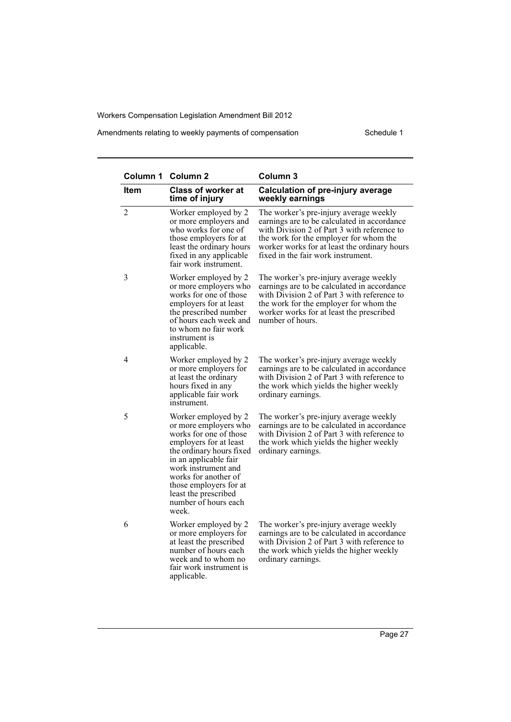Amendments relating to weekly payments of compensation Schedule 1

|                | Column 1 Column 2                                                                                                                                                                                                                                                                        | Column <sub>3</sub>                                                                                                                                                                                                                                                  |
|----------------|------------------------------------------------------------------------------------------------------------------------------------------------------------------------------------------------------------------------------------------------------------------------------------------|----------------------------------------------------------------------------------------------------------------------------------------------------------------------------------------------------------------------------------------------------------------------|
| <b>Item</b>    | <b>Class of worker at</b><br>time of injury                                                                                                                                                                                                                                              | <b>Calculation of pre-injury average</b><br>weekly earnings                                                                                                                                                                                                          |
| $\overline{2}$ | Worker employed by 2<br>or more employers and<br>who works for one of<br>those employers for at<br>least the ordinary hours<br>fixed in any applicable<br>fair work instrument.                                                                                                          | The worker's pre-injury average weekly<br>earnings are to be calculated in accordance<br>with Division 2 of Part 3 with reference to<br>the work for the employer for whom the<br>worker works for at least the ordinary hours<br>fixed in the fair work instrument. |
| 3              | Worker employed by 2<br>or more employers who<br>works for one of those<br>employers for at least<br>the prescribed number<br>of hours each week and<br>to whom no fair work<br>instrument is<br>applicable.                                                                             | The worker's pre-injury average weekly<br>earnings are to be calculated in accordance<br>with Division 2 of Part 3 with reference to<br>the work for the employer for whom the<br>worker works for at least the prescribed<br>number of hours.                       |
| $\overline{4}$ | Worker employed by 2<br>or more employers for<br>at least the ordinary<br>hours fixed in any<br>applicable fair work<br>instrument.                                                                                                                                                      | The worker's pre-injury average weekly<br>earnings are to be calculated in accordance<br>with Division 2 of Part 3 with reference to<br>the work which yields the higher weekly<br>ordinary earnings.                                                                |
| 5              | Worker employed by 2<br>or more employers who<br>works for one of those<br>employers for at least<br>the ordinary hours fixed<br>in an applicable fair<br>work instrument and<br>works for another of<br>those employers for at<br>least the prescribed<br>number of hours each<br>week. | The worker's pre-injury average weekly<br>earnings are to be calculated in accordance<br>with Division 2 of Part 3 with reference to<br>the work which yields the higher weekly<br>ordinary earnings.                                                                |
| 6              | Worker employed by 2<br>or more employers for<br>at least the prescribed<br>number of hours each<br>week and to whom no<br>fair work instrument is<br>applicable.                                                                                                                        | The worker's pre-injury average weekly<br>earnings are to be calculated in accordance<br>with Division 2 of Part 3 with reference to<br>the work which yields the higher weekly<br>ordinary earnings.                                                                |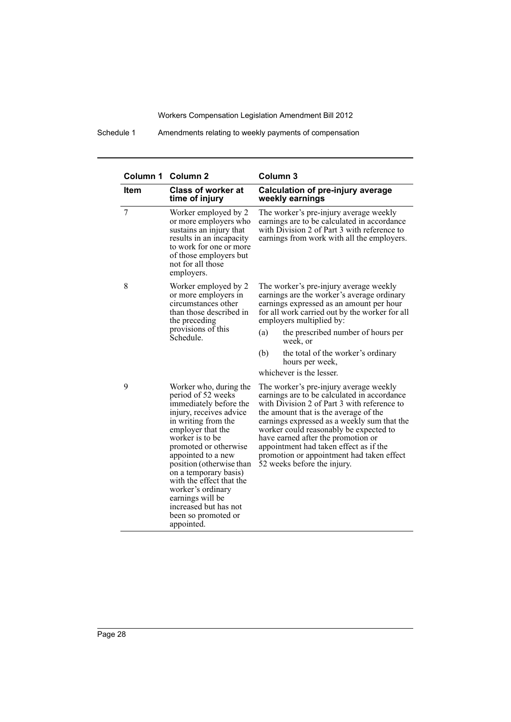Schedule 1 Amendments relating to weekly payments of compensation

|             | Column 1 Column 2                                                                                                                                                                                                                                                                                                                                                                                       | Column 3                                                                                                                                                                                                                                                                                                                                                                                                                           |  |
|-------------|---------------------------------------------------------------------------------------------------------------------------------------------------------------------------------------------------------------------------------------------------------------------------------------------------------------------------------------------------------------------------------------------------------|------------------------------------------------------------------------------------------------------------------------------------------------------------------------------------------------------------------------------------------------------------------------------------------------------------------------------------------------------------------------------------------------------------------------------------|--|
| <b>Item</b> | <b>Class of worker at</b><br>time of injury                                                                                                                                                                                                                                                                                                                                                             | <b>Calculation of pre-injury average</b><br>weekly earnings                                                                                                                                                                                                                                                                                                                                                                        |  |
| 7           | Worker employed by 2<br>or more employers who<br>sustains an injury that<br>results in an incapacity<br>to work for one or more<br>of those employers but<br>not for all those<br>employers.                                                                                                                                                                                                            | The worker's pre-injury average weekly<br>earnings are to be calculated in accordance<br>with Division 2 of Part 3 with reference to<br>earnings from work with all the employers.                                                                                                                                                                                                                                                 |  |
| 8           | Worker employed by 2<br>or more employers in<br>circumstances other<br>than those described in<br>the preceding                                                                                                                                                                                                                                                                                         | The worker's pre-injury average weekly<br>earnings are the worker's average ordinary<br>earnings expressed as an amount per hour<br>for all work carried out by the worker for all<br>employers multiplied by:                                                                                                                                                                                                                     |  |
|             | provisions of this<br>Schedule -                                                                                                                                                                                                                                                                                                                                                                        | the prescribed number of hours per<br>(a)<br>week, or                                                                                                                                                                                                                                                                                                                                                                              |  |
|             |                                                                                                                                                                                                                                                                                                                                                                                                         | (b)<br>the total of the worker's ordinary<br>hours per week,                                                                                                                                                                                                                                                                                                                                                                       |  |
|             |                                                                                                                                                                                                                                                                                                                                                                                                         | whichever is the lesser.                                                                                                                                                                                                                                                                                                                                                                                                           |  |
| 9           | Worker who, during the<br>period of 52 weeks<br>immediately before the<br>injury, receives advice<br>in writing from the<br>employer that the<br>worker is to be<br>promoted or otherwise<br>appointed to a new<br>position (otherwise than<br>on a temporary basis)<br>with the effect that the<br>worker's ordinary<br>earnings will be<br>increased but has not<br>been so promoted or<br>appointed. | The worker's pre-injury average weekly<br>earnings are to be calculated in accordance<br>with Division 2 of Part 3 with reference to<br>the amount that is the average of the<br>earnings expressed as a weekly sum that the<br>worker could reasonably be expected to<br>have earned after the promotion or<br>appointment had taken effect as if the<br>promotion or appointment had taken effect<br>52 weeks before the injury. |  |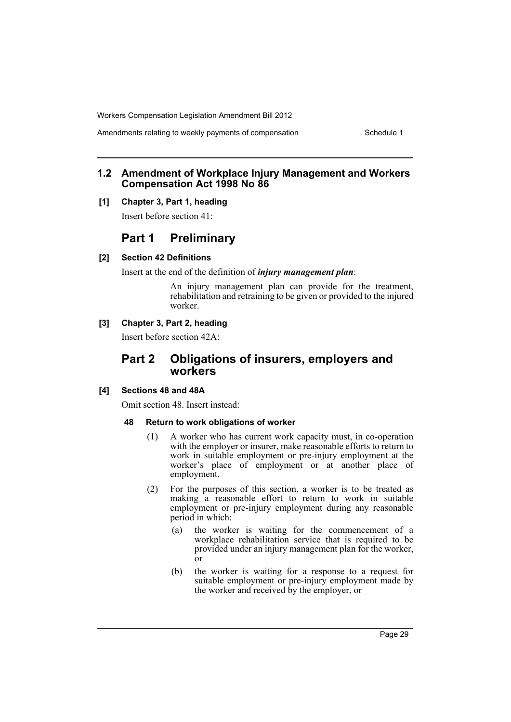Amendments relating to weekly payments of compensation Schedule 1

### **1.2 Amendment of Workplace Injury Management and Workers Compensation Act 1998 No 86**

#### **[1] Chapter 3, Part 1, heading**

Insert before section 41:

# **Part 1 Preliminary**

### **[2] Section 42 Definitions**

Insert at the end of the definition of *injury management plan*:

An injury management plan can provide for the treatment, rehabilitation and retraining to be given or provided to the injured worker.

### **[3] Chapter 3, Part 2, heading**

Insert before section 42A:

# **Part 2 Obligations of insurers, employers and workers**

### **[4] Sections 48 and 48A**

Omit section 48. Insert instead:

#### **48 Return to work obligations of worker**

- (1) A worker who has current work capacity must, in co-operation with the employer or insurer, make reasonable efforts to return to work in suitable employment or pre-injury employment at the worker's place of employment or at another place of employment.
- (2) For the purposes of this section, a worker is to be treated as making a reasonable effort to return to work in suitable employment or pre-injury employment during any reasonable period in which:
	- (a) the worker is waiting for the commencement of a workplace rehabilitation service that is required to be provided under an injury management plan for the worker, or
	- (b) the worker is waiting for a response to a request for suitable employment or pre-injury employment made by the worker and received by the employer, or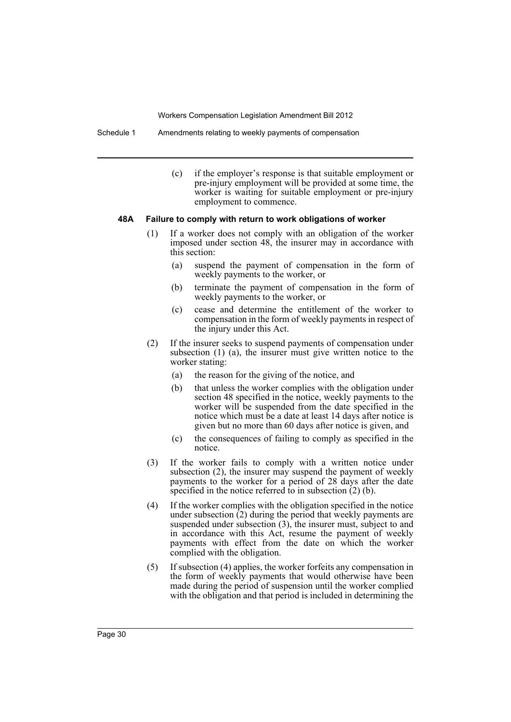Schedule 1 Amendments relating to weekly payments of compensation

(c) if the employer's response is that suitable employment or pre-injury employment will be provided at some time, the worker is waiting for suitable employment or pre-injury employment to commence.

#### **48A Failure to comply with return to work obligations of worker**

- (1) If a worker does not comply with an obligation of the worker imposed under section 48, the insurer may in accordance with this section:
	- (a) suspend the payment of compensation in the form of weekly payments to the worker, or
	- (b) terminate the payment of compensation in the form of weekly payments to the worker, or
	- (c) cease and determine the entitlement of the worker to compensation in the form of weekly payments in respect of the injury under this Act.
- (2) If the insurer seeks to suspend payments of compensation under subsection (1) (a), the insurer must give written notice to the worker stating:
	- (a) the reason for the giving of the notice, and
	- (b) that unless the worker complies with the obligation under section 48 specified in the notice, weekly payments to the worker will be suspended from the date specified in the notice which must be a date at least 14 days after notice is given but no more than 60 days after notice is given, and
	- (c) the consequences of failing to comply as specified in the notice.
- (3) If the worker fails to comply with a written notice under subsection (2), the insurer may suspend the payment of weekly payments to the worker for a period of 28 days after the date specified in the notice referred to in subsection (2) (b).
- (4) If the worker complies with the obligation specified in the notice under subsection  $(2)$  during the period that weekly payments are suspended under subsection (3), the insurer must, subject to and in accordance with this Act, resume the payment of weekly payments with effect from the date on which the worker complied with the obligation.
- (5) If subsection (4) applies, the worker forfeits any compensation in the form of weekly payments that would otherwise have been made during the period of suspension until the worker complied with the obligation and that period is included in determining the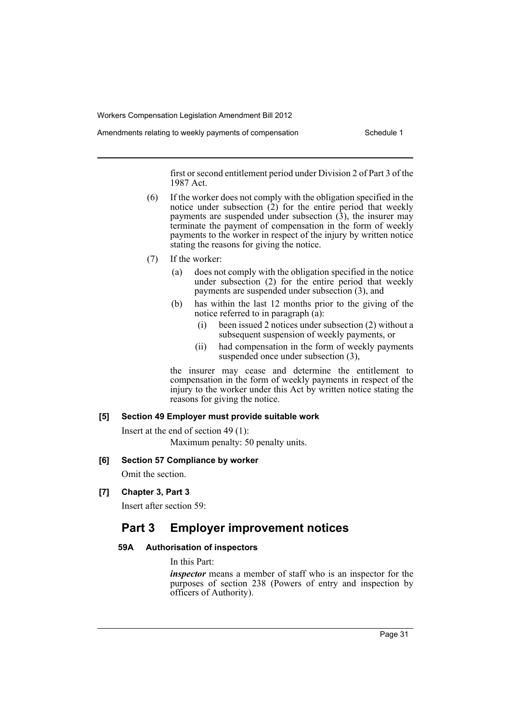Amendments relating to weekly payments of compensation Schedule 1

first or second entitlement period under Division 2 of Part 3 of the 1987 Act.

- (6) If the worker does not comply with the obligation specified in the notice under subsection (2) for the entire period that weekly payments are suspended under subsection  $(3)$ , the insurer may terminate the payment of compensation in the form of weekly payments to the worker in respect of the injury by written notice stating the reasons for giving the notice.
- (7) If the worker:
	- (a) does not comply with the obligation specified in the notice under subsection (2) for the entire period that weekly payments are suspended under subsection (3), and
	- (b) has within the last 12 months prior to the giving of the notice referred to in paragraph (a):
		- (i) been issued 2 notices under subsection (2) without a subsequent suspension of weekly payments, or
		- (ii) had compensation in the form of weekly payments suspended once under subsection (3),

the insurer may cease and determine the entitlement to compensation in the form of weekly payments in respect of the injury to the worker under this Act by written notice stating the reasons for giving the notice.

### **[5] Section 49 Employer must provide suitable work**

Insert at the end of section 49 (1): Maximum penalty: 50 penalty units.

### **[6] Section 57 Compliance by worker**

Omit the section.

**[7] Chapter 3, Part 3**

Insert after section 59:

# **Part 3 Employer improvement notices**

### **59A Authorisation of inspectors**

In this Part:

*inspector* means a member of staff who is an inspector for the purposes of section 238 (Powers of entry and inspection by officers of Authority).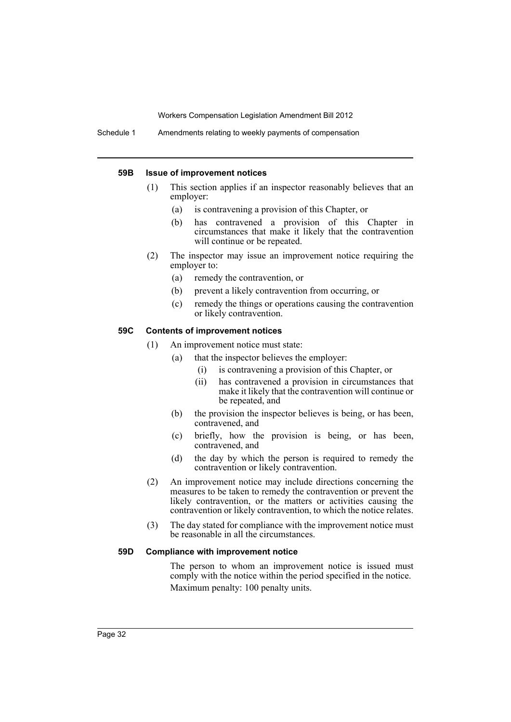Schedule 1 Amendments relating to weekly payments of compensation

#### **59B Issue of improvement notices**

- (1) This section applies if an inspector reasonably believes that an employer:
	- (a) is contravening a provision of this Chapter, or
	- (b) has contravened a provision of this Chapter in circumstances that make it likely that the contravention will continue or be repeated.
- (2) The inspector may issue an improvement notice requiring the employer to:
	- (a) remedy the contravention, or
	- (b) prevent a likely contravention from occurring, or
	- (c) remedy the things or operations causing the contravention or likely contravention.

### **59C Contents of improvement notices**

- (1) An improvement notice must state:
	- (a) that the inspector believes the employer:
		- (i) is contravening a provision of this Chapter, or
		- (ii) has contravened a provision in circumstances that make it likely that the contravention will continue or be repeated, and
	- (b) the provision the inspector believes is being, or has been, contravened, and
	- (c) briefly, how the provision is being, or has been, contravened, and
	- (d) the day by which the person is required to remedy the contravention or likely contravention.
- (2) An improvement notice may include directions concerning the measures to be taken to remedy the contravention or prevent the likely contravention, or the matters or activities causing the contravention or likely contravention, to which the notice relates.
- (3) The day stated for compliance with the improvement notice must be reasonable in all the circumstances.

### **59D Compliance with improvement notice**

The person to whom an improvement notice is issued must comply with the notice within the period specified in the notice. Maximum penalty: 100 penalty units.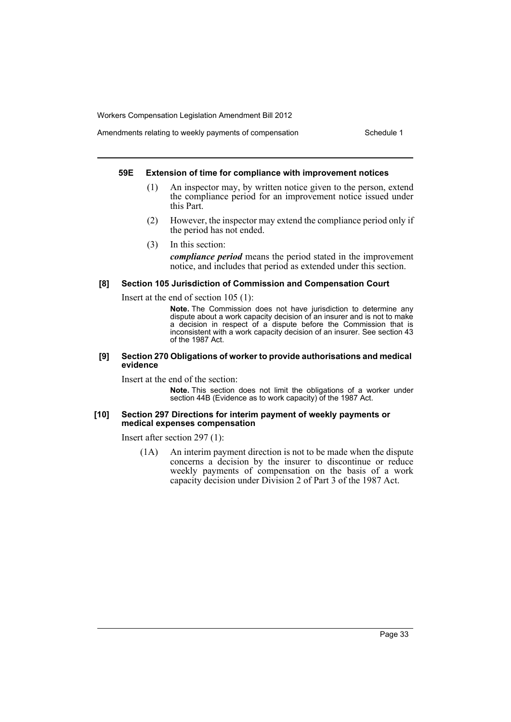### Amendments relating to weekly payments of compensation Schedule 1

#### **59E Extension of time for compliance with improvement notices**

- (1) An inspector may, by written notice given to the person, extend the compliance period for an improvement notice issued under this Part.
- (2) However, the inspector may extend the compliance period only if the period has not ended.
- (3) In this section:

*compliance period* means the period stated in the improvement notice, and includes that period as extended under this section.

#### **[8] Section 105 Jurisdiction of Commission and Compensation Court**

Insert at the end of section 105 (1):

**Note.** The Commission does not have jurisdiction to determine any dispute about a work capacity decision of an insurer and is not to make a decision in respect of a dispute before the Commission that is inconsistent with a work capacity decision of an insurer. See section 43 of the 1987 Act.

#### **[9] Section 270 Obligations of worker to provide authorisations and medical evidence**

Insert at the end of the section:

**Note.** This section does not limit the obligations of a worker under section 44B (Evidence as to work capacity) of the 1987 Act.

#### **[10] Section 297 Directions for interim payment of weekly payments or medical expenses compensation**

Insert after section 297 (1):

(1A) An interim payment direction is not to be made when the dispute concerns a decision by the insurer to discontinue or reduce weekly payments of compensation on the basis of a work capacity decision under Division 2 of Part 3 of the 1987 Act.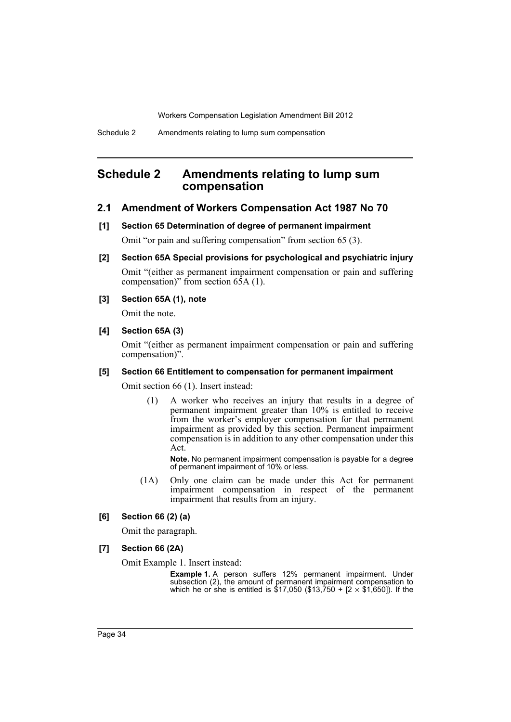# <span id="page-35-0"></span>**Schedule 2 Amendments relating to lump sum compensation**

### **2.1 Amendment of Workers Compensation Act 1987 No 70**

#### **[1] Section 65 Determination of degree of permanent impairment**

Omit "or pain and suffering compensation" from section 65 (3).

- **[2] Section 65A Special provisions for psychological and psychiatric injury** Omit "(either as permanent impairment compensation or pain and suffering compensation)" from section  $6\overline{5}A(1)$ .
- **[3] Section 65A (1), note**

Omit the note.

**[4] Section 65A (3)**

Omit "(either as permanent impairment compensation or pain and suffering compensation)".

#### **[5] Section 66 Entitlement to compensation for permanent impairment**

Omit section 66 (1). Insert instead:

(1) A worker who receives an injury that results in a degree of permanent impairment greater than 10% is entitled to receive from the worker's employer compensation for that permanent impairment as provided by this section. Permanent impairment compensation is in addition to any other compensation under this Act.

**Note.** No permanent impairment compensation is payable for a degree of permanent impairment of 10% or less.

(1A) Only one claim can be made under this Act for permanent impairment compensation in respect of the permanent impairment that results from an injury.

#### **[6] Section 66 (2) (a)**

Omit the paragraph.

**[7] Section 66 (2A)**

Omit Example 1. Insert instead:

**Example 1.** A person suffers 12% permanent impairment. Under subsection (2), the amount of permanent impairment compensation to which he or she is entitled is \$17,050 (\$13,750 + [2  $\times$  \$1,650]). If the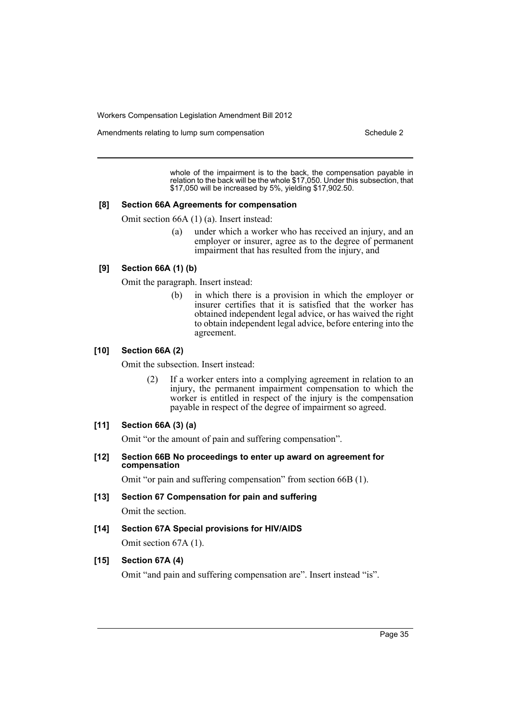Amendments relating to lump sum compensation Schedule 2

whole of the impairment is to the back, the compensation payable in relation to the back will be the whole \$17,050. Under this subsection, that \$17,050 will be increased by 5%, yielding \$17,902.50.

#### **[8] Section 66A Agreements for compensation**

Omit section 66A (1) (a). Insert instead:

(a) under which a worker who has received an injury, and an employer or insurer, agree as to the degree of permanent impairment that has resulted from the injury, and

### **[9] Section 66A (1) (b)**

Omit the paragraph. Insert instead:

(b) in which there is a provision in which the employer or insurer certifies that it is satisfied that the worker has obtained independent legal advice, or has waived the right to obtain independent legal advice, before entering into the agreement.

#### **[10] Section 66A (2)**

Omit the subsection. Insert instead:

(2) If a worker enters into a complying agreement in relation to an injury, the permanent impairment compensation to which the worker is entitled in respect of the injury is the compensation payable in respect of the degree of impairment so agreed.

#### **[11] Section 66A (3) (a)**

Omit "or the amount of pain and suffering compensation".

**[12] Section 66B No proceedings to enter up award on agreement for compensation**

Omit "or pain and suffering compensation" from section 66B (1).

- **[13] Section 67 Compensation for pain and suffering** Omit the section.
- **[14] Section 67A Special provisions for HIV/AIDS** Omit section 67A (1).

#### **[15] Section 67A (4)**

Omit "and pain and suffering compensation are". Insert instead "is".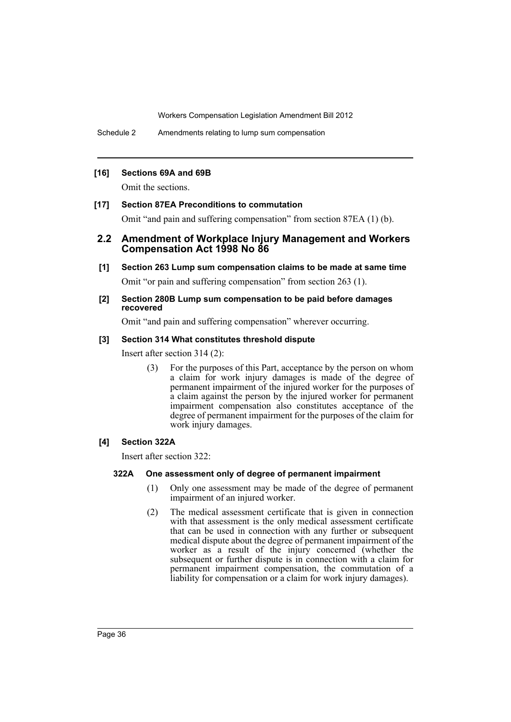Schedule 2 Amendments relating to lump sum compensation

### **[16] Sections 69A and 69B**

Omit the sections.

### **[17] Section 87EA Preconditions to commutation**

Omit "and pain and suffering compensation" from section 87EA (1) (b).

### **2.2 Amendment of Workplace Injury Management and Workers Compensation Act 1998 No 86**

### **[1] Section 263 Lump sum compensation claims to be made at same time**

Omit "or pain and suffering compensation" from section 263 (1).

#### **[2] Section 280B Lump sum compensation to be paid before damages recovered**

Omit "and pain and suffering compensation" wherever occurring.

### **[3] Section 314 What constitutes threshold dispute**

Insert after section 314 (2):

For the purposes of this Part, acceptance by the person on whom a claim for work injury damages is made of the degree of permanent impairment of the injured worker for the purposes of a claim against the person by the injured worker for permanent impairment compensation also constitutes acceptance of the degree of permanent impairment for the purposes of the claim for work injury damages.

### **[4] Section 322A**

Insert after section 322:

### **322A One assessment only of degree of permanent impairment**

- (1) Only one assessment may be made of the degree of permanent impairment of an injured worker.
- (2) The medical assessment certificate that is given in connection with that assessment is the only medical assessment certificate that can be used in connection with any further or subsequent medical dispute about the degree of permanent impairment of the worker as a result of the injury concerned (whether the subsequent or further dispute is in connection with a claim for permanent impairment compensation, the commutation of a liability for compensation or a claim for work injury damages).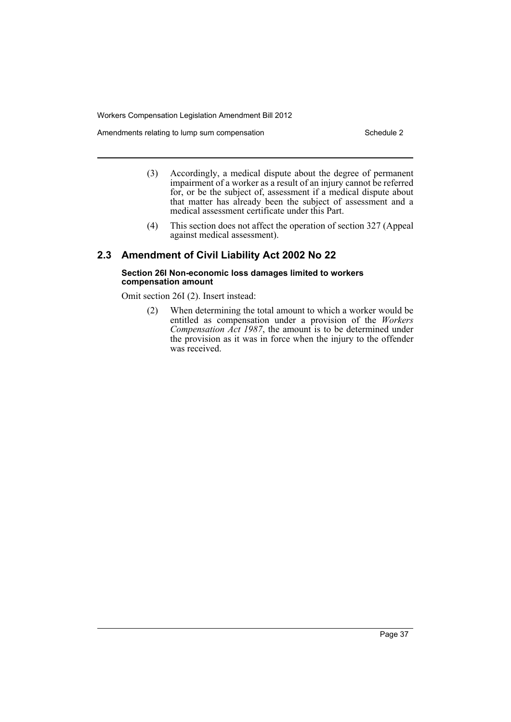Amendments relating to lump sum compensation Schedule 2

- (3) Accordingly, a medical dispute about the degree of permanent impairment of a worker as a result of an injury cannot be referred for, or be the subject of, assessment if a medical dispute about that matter has already been the subject of assessment and a medical assessment certificate under this Part.
- (4) This section does not affect the operation of section 327 (Appeal against medical assessment).

### **2.3 Amendment of Civil Liability Act 2002 No 22**

#### **Section 26I Non-economic loss damages limited to workers compensation amount**

Omit section 26I (2). Insert instead:

(2) When determining the total amount to which a worker would be entitled as compensation under a provision of the *Workers Compensation Act 1987*, the amount is to be determined under the provision as it was in force when the injury to the offender was received.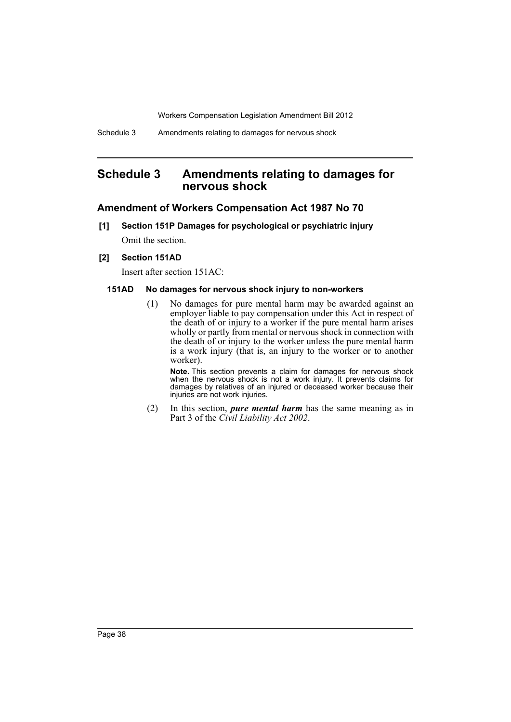# <span id="page-39-0"></span>**Schedule 3 Amendments relating to damages for nervous shock**

### **Amendment of Workers Compensation Act 1987 No 70**

**[1] Section 151P Damages for psychological or psychiatric injury** Omit the section.

#### **[2] Section 151AD**

Insert after section 151AC:

### **151AD No damages for nervous shock injury to non-workers**

(1) No damages for pure mental harm may be awarded against an employer liable to pay compensation under this Act in respect of the death of or injury to a worker if the pure mental harm arises wholly or partly from mental or nervous shock in connection with the death of or injury to the worker unless the pure mental harm is a work injury (that is, an injury to the worker or to another worker).

**Note.** This section prevents a claim for damages for nervous shock when the nervous shock is not a work injury. It prevents claims for damages by relatives of an injured or deceased worker because their injuries are not work injuries.

(2) In this section, *pure mental harm* has the same meaning as in Part 3 of the *Civil Liability Act 2002*.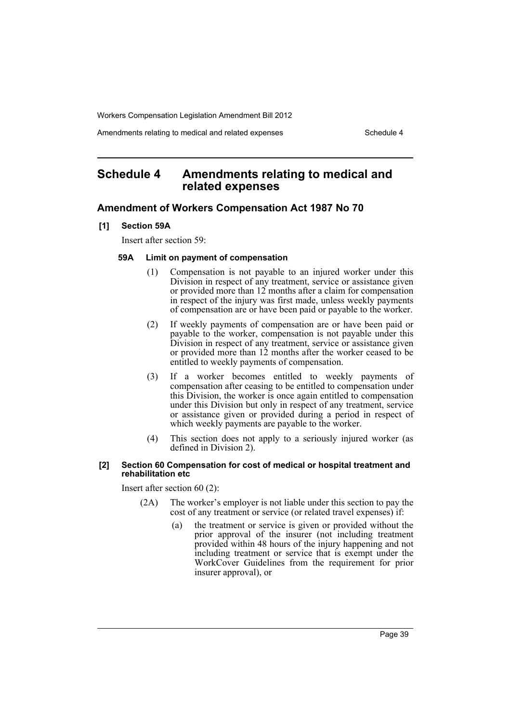Amendments relating to medical and related expenses Schedule 4

# <span id="page-40-0"></span>**Schedule 4 Amendments relating to medical and related expenses**

### **Amendment of Workers Compensation Act 1987 No 70**

**[1] Section 59A**

Insert after section 59:

### **59A Limit on payment of compensation**

- (1) Compensation is not payable to an injured worker under this Division in respect of any treatment, service or assistance given or provided more than 12 months after a claim for compensation in respect of the injury was first made, unless weekly payments of compensation are or have been paid or payable to the worker.
- (2) If weekly payments of compensation are or have been paid or payable to the worker, compensation is not payable under this Division in respect of any treatment, service or assistance given or provided more than 12 months after the worker ceased to be entitled to weekly payments of compensation.
- (3) If a worker becomes entitled to weekly payments of compensation after ceasing to be entitled to compensation under this Division, the worker is once again entitled to compensation under this Division but only in respect of any treatment, service or assistance given or provided during a period in respect of which weekly payments are payable to the worker.
- (4) This section does not apply to a seriously injured worker (as defined in Division 2).

#### **[2] Section 60 Compensation for cost of medical or hospital treatment and rehabilitation etc**

Insert after section 60 (2):

- (2A) The worker's employer is not liable under this section to pay the cost of any treatment or service (or related travel expenses) if:
	- (a) the treatment or service is given or provided without the prior approval of the insurer (not including treatment provided within 48 hours of the injury happening and not including treatment or service that is exempt under the WorkCover Guidelines from the requirement for prior insurer approval), or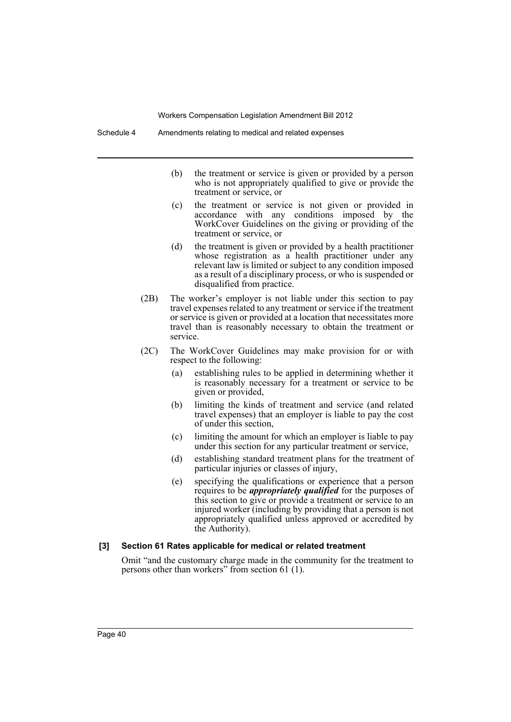- (b) the treatment or service is given or provided by a person who is not appropriately qualified to give or provide the treatment or service, or
- (c) the treatment or service is not given or provided in accordance with any conditions imposed by the WorkCover Guidelines on the giving or providing of the treatment or service, or
- (d) the treatment is given or provided by a health practitioner whose registration as a health practitioner under any relevant law is limited or subject to any condition imposed as a result of a disciplinary process, or who is suspended or disqualified from practice.
- (2B) The worker's employer is not liable under this section to pay travel expenses related to any treatment or service if the treatment or service is given or provided at a location that necessitates more travel than is reasonably necessary to obtain the treatment or service.
- (2C) The WorkCover Guidelines may make provision for or with respect to the following:
	- (a) establishing rules to be applied in determining whether it is reasonably necessary for a treatment or service to be given or provided,
	- (b) limiting the kinds of treatment and service (and related travel expenses) that an employer is liable to pay the cost of under this section,
	- (c) limiting the amount for which an employer is liable to pay under this section for any particular treatment or service,
	- (d) establishing standard treatment plans for the treatment of particular injuries or classes of injury,
	- (e) specifying the qualifications or experience that a person requires to be *appropriately qualified* for the purposes of this section to give or provide a treatment or service to an injured worker (including by providing that a person is not appropriately qualified unless approved or accredited by the Authority).

#### **[3] Section 61 Rates applicable for medical or related treatment**

Omit "and the customary charge made in the community for the treatment to persons other than workers" from section 61 (1).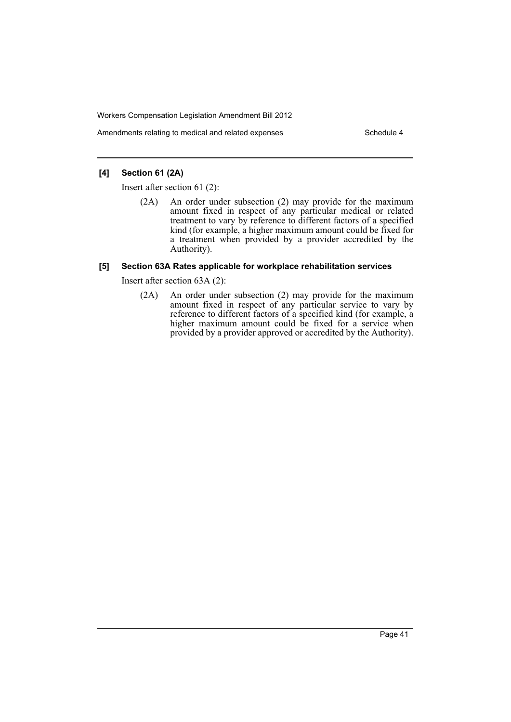Amendments relating to medical and related expenses Schedule 4

### **[4] Section 61 (2A)**

Insert after section 61 (2):

(2A) An order under subsection (2) may provide for the maximum amount fixed in respect of any particular medical or related treatment to vary by reference to different factors of a specified kind (for example, a higher maximum amount could be fixed for a treatment when provided by a provider accredited by the Authority).

### **[5] Section 63A Rates applicable for workplace rehabilitation services**

Insert after section 63A (2):

(2A) An order under subsection (2) may provide for the maximum amount fixed in respect of any particular service to vary by reference to different factors of a specified kind (for example, a higher maximum amount could be fixed for a service when provided by a provider approved or accredited by the Authority).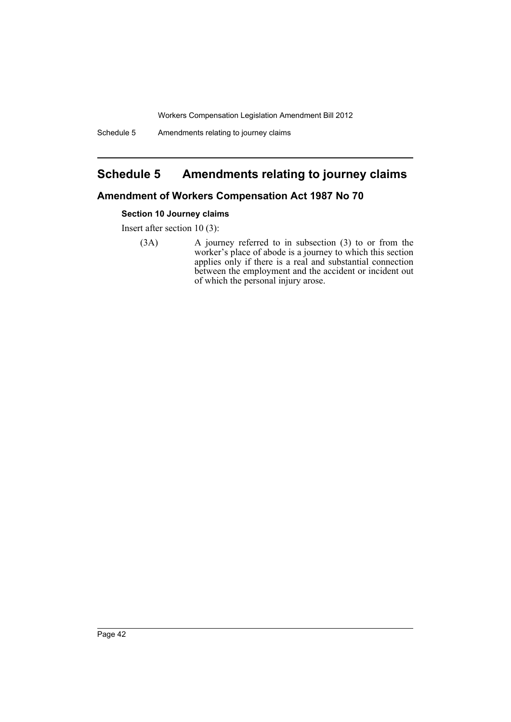Schedule 5 Amendments relating to journey claims

# <span id="page-43-0"></span>**Schedule 5 Amendments relating to journey claims**

# **Amendment of Workers Compensation Act 1987 No 70**

### **Section 10 Journey claims**

Insert after section 10 (3):

(3A) A journey referred to in subsection (3) to or from the worker's place of abode is a journey to which this section applies only if there is a real and substantial connection between the employment and the accident or incident out of which the personal injury arose.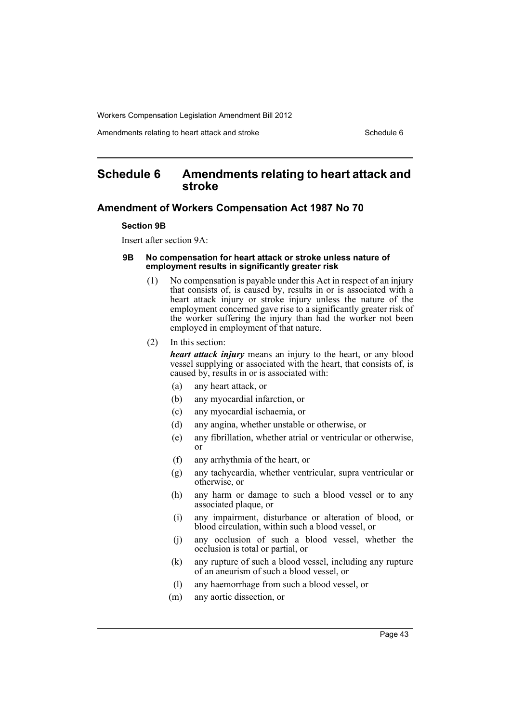Amendments relating to heart attack and stroke Schedule 6 Schedule 6

# <span id="page-44-0"></span>**Schedule 6 Amendments relating to heart attack and stroke**

#### **Amendment of Workers Compensation Act 1987 No 70**

#### **Section 9B**

Insert after section 9A:

#### **9B No compensation for heart attack or stroke unless nature of employment results in significantly greater risk**

- (1) No compensation is payable under this Act in respect of an injury that consists of, is caused by, results in or is associated with a heart attack injury or stroke injury unless the nature of the employment concerned gave rise to a significantly greater risk of the worker suffering the injury than had the worker not been employed in employment of that nature.
- (2) In this section:

*heart attack injury* means an injury to the heart, or any blood vessel supplying or associated with the heart, that consists of, is caused by, results in or is associated with:

- (a) any heart attack, or
- (b) any myocardial infarction, or
- (c) any myocardial ischaemia, or
- (d) any angina, whether unstable or otherwise, or
- (e) any fibrillation, whether atrial or ventricular or otherwise, or
- (f) any arrhythmia of the heart, or
- (g) any tachycardia, whether ventricular, supra ventricular or otherwise, or
- (h) any harm or damage to such a blood vessel or to any associated plaque, or
- (i) any impairment, disturbance or alteration of blood, or blood circulation, within such a blood vessel, or
- (j) any occlusion of such a blood vessel, whether the occlusion is total or partial, or
- (k) any rupture of such a blood vessel, including any rupture of an aneurism of such a blood vessel, or
- (l) any haemorrhage from such a blood vessel, or
- (m) any aortic dissection, or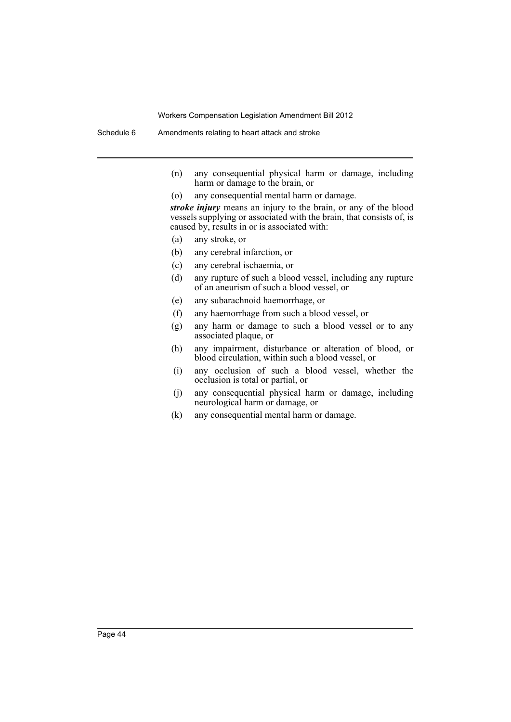- (n) any consequential physical harm or damage, including harm or damage to the brain, or
- (o) any consequential mental harm or damage.

*stroke injury* means an injury to the brain, or any of the blood vessels supplying or associated with the brain, that consists of, is caused by, results in or is associated with:

- (a) any stroke, or
- (b) any cerebral infarction, or
- (c) any cerebral ischaemia, or
- (d) any rupture of such a blood vessel, including any rupture of an aneurism of such a blood vessel, or
- (e) any subarachnoid haemorrhage, or
- (f) any haemorrhage from such a blood vessel, or
- (g) any harm or damage to such a blood vessel or to any associated plaque, or
- (h) any impairment, disturbance or alteration of blood, or blood circulation, within such a blood vessel, or
- (i) any occlusion of such a blood vessel, whether the occlusion is total or partial, or
- (j) any consequential physical harm or damage, including neurological harm or damage, or
- (k) any consequential mental harm or damage.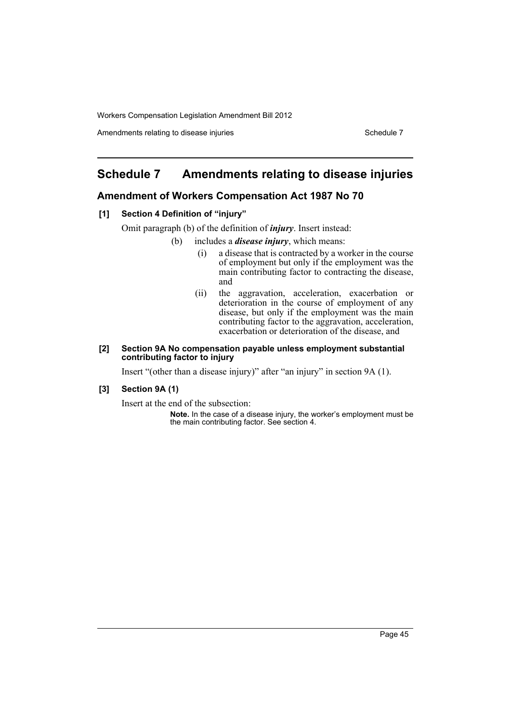Amendments relating to disease injuries Schedule 7 Schedule 7

# <span id="page-46-0"></span>**Schedule 7 Amendments relating to disease injuries**

### **Amendment of Workers Compensation Act 1987 No 70**

### **[1] Section 4 Definition of "injury"**

Omit paragraph (b) of the definition of *injury*. Insert instead:

- (b) includes a *disease injury*, which means:
	- (i) a disease that is contracted by a worker in the course of employment but only if the employment was the main contributing factor to contracting the disease, and
	- (ii) the aggravation, acceleration, exacerbation or deterioration in the course of employment of any disease, but only if the employment was the main contributing factor to the aggravation, acceleration, exacerbation or deterioration of the disease, and

#### **[2] Section 9A No compensation payable unless employment substantial contributing factor to injury**

Insert "(other than a disease injury)" after "an injury" in section 9A (1).

### **[3] Section 9A (1)**

Insert at the end of the subsection:

**Note.** In the case of a disease injury, the worker's employment must be the main contributing factor. See section 4.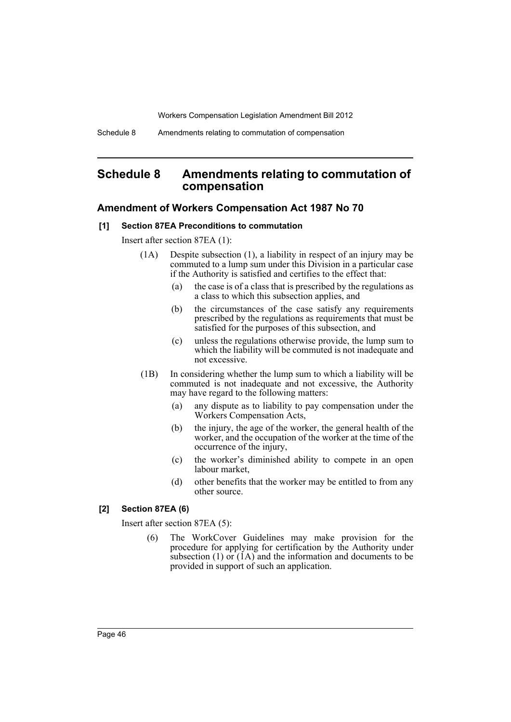# <span id="page-47-0"></span>**Schedule 8 Amendments relating to commutation of compensation**

### **Amendment of Workers Compensation Act 1987 No 70**

#### **[1] Section 87EA Preconditions to commutation**

Insert after section 87EA (1):

- (1A) Despite subsection (1), a liability in respect of an injury may be commuted to a lump sum under this Division in a particular case if the Authority is satisfied and certifies to the effect that:
	- (a) the case is of a class that is prescribed by the regulations as a class to which this subsection applies, and
	- (b) the circumstances of the case satisfy any requirements prescribed by the regulations as requirements that must be satisfied for the purposes of this subsection, and
	- (c) unless the regulations otherwise provide, the lump sum to which the liability will be commuted is not inadequate and not excessive.
- (1B) In considering whether the lump sum to which a liability will be commuted is not inadequate and not excessive, the Authority may have regard to the following matters:
	- (a) any dispute as to liability to pay compensation under the Workers Compensation Acts,
	- (b) the injury, the age of the worker, the general health of the worker, and the occupation of the worker at the time of the occurrence of the injury,
	- (c) the worker's diminished ability to compete in an open labour market,
	- (d) other benefits that the worker may be entitled to from any other source.

### **[2] Section 87EA (6)**

Insert after section 87EA (5):

(6) The WorkCover Guidelines may make provision for the procedure for applying for certification by the Authority under subsection  $(1)$  or  $(1)$  and the information and documents to be provided in support of such an application.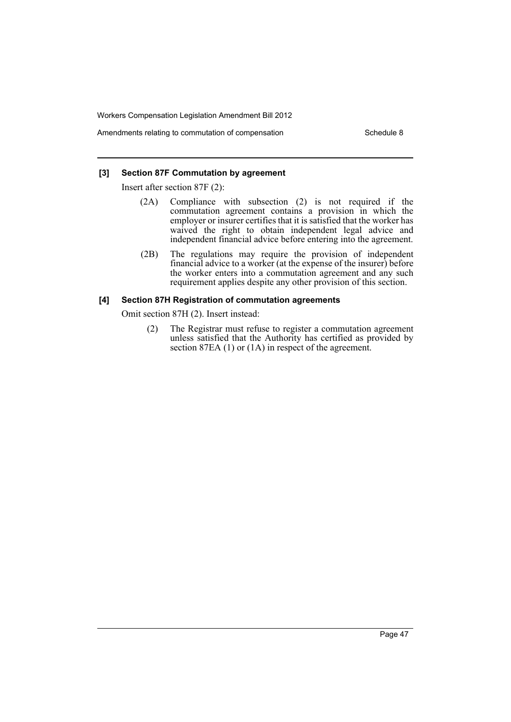Amendments relating to commutation of compensation example 3 Schedule 8

### **[3] Section 87F Commutation by agreement**

Insert after section 87F (2):

- (2A) Compliance with subsection (2) is not required if the commutation agreement contains a provision in which the employer or insurer certifies that it is satisfied that the worker has waived the right to obtain independent legal advice and independent financial advice before entering into the agreement.
- (2B) The regulations may require the provision of independent financial advice to a worker (at the expense of the insurer) before the worker enters into a commutation agreement and any such requirement applies despite any other provision of this section.

### **[4] Section 87H Registration of commutation agreements**

Omit section 87H (2). Insert instead:

(2) The Registrar must refuse to register a commutation agreement unless satisfied that the Authority has certified as provided by section 87EA (1) or (1A) in respect of the agreement.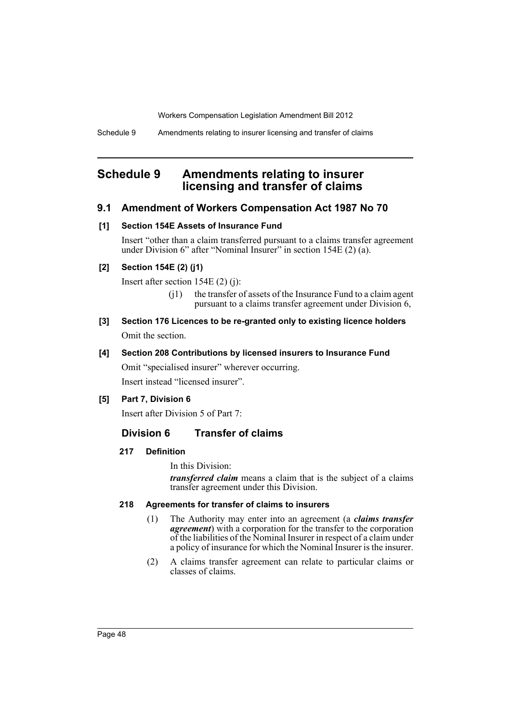Schedule 9 Amendments relating to insurer licensing and transfer of claims

# <span id="page-49-0"></span>**Schedule 9 Amendments relating to insurer licensing and transfer of claims**

### **9.1 Amendment of Workers Compensation Act 1987 No 70**

### **[1] Section 154E Assets of Insurance Fund**

Insert "other than a claim transferred pursuant to a claims transfer agreement under Division 6" after "Nominal Insurer" in section 154E (2) (a).

### **[2] Section 154E (2) (j1)**

Insert after section 154E (2) (j):

- $(i)$  the transfer of assets of the Insurance Fund to a claim agent pursuant to a claims transfer agreement under Division 6,
- **[3] Section 176 Licences to be re-granted only to existing licence holders** Omit the section.

### **[4] Section 208 Contributions by licensed insurers to Insurance Fund**

Omit "specialised insurer" wherever occurring.

Insert instead "licensed insurer".

### **[5] Part 7, Division 6**

Insert after Division 5 of Part 7:

### **Division 6 Transfer of claims**

### **217 Definition**

In this Division:

*transferred claim* means a claim that is the subject of a claims transfer agreement under this Division.

### **218 Agreements for transfer of claims to insurers**

- (1) The Authority may enter into an agreement (a *claims transfer agreement*) with a corporation for the transfer to the corporation of the liabilities of the Nominal Insurer in respect of a claim under a policy of insurance for which the Nominal Insurer is the insurer.
- (2) A claims transfer agreement can relate to particular claims or classes of claims.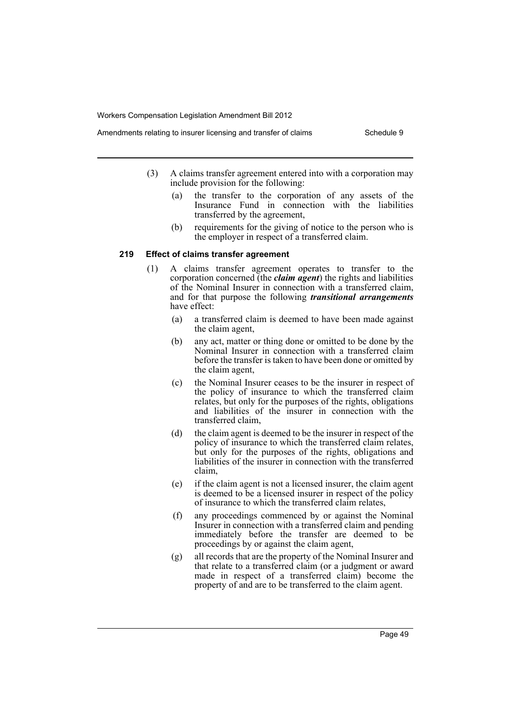- Amendments relating to insurer licensing and transfer of claims Schedule 9
	- (3) A claims transfer agreement entered into with a corporation may include provision for the following:
		- (a) the transfer to the corporation of any assets of the Insurance Fund in connection with the liabilities transferred by the agreement,
		- (b) requirements for the giving of notice to the person who is the employer in respect of a transferred claim.

### **219 Effect of claims transfer agreement**

- (1) A claims transfer agreement operates to transfer to the corporation concerned (the *claim agent*) the rights and liabilities of the Nominal Insurer in connection with a transferred claim, and for that purpose the following *transitional arrangements* have effect:
	- (a) a transferred claim is deemed to have been made against the claim agent,
	- (b) any act, matter or thing done or omitted to be done by the Nominal Insurer in connection with a transferred claim before the transfer is taken to have been done or omitted by the claim agent,
	- (c) the Nominal Insurer ceases to be the insurer in respect of the policy of insurance to which the transferred claim relates, but only for the purposes of the rights, obligations and liabilities of the insurer in connection with the transferred claim,
	- (d) the claim agent is deemed to be the insurer in respect of the policy of insurance to which the transferred claim relates, but only for the purposes of the rights, obligations and liabilities of the insurer in connection with the transferred claim,
	- (e) if the claim agent is not a licensed insurer, the claim agent is deemed to be a licensed insurer in respect of the policy of insurance to which the transferred claim relates,
	- (f) any proceedings commenced by or against the Nominal Insurer in connection with a transferred claim and pending immediately before the transfer are deemed to be proceedings by or against the claim agent,
	- (g) all records that are the property of the Nominal Insurer and that relate to a transferred claim (or a judgment or award made in respect of a transferred claim) become the property of and are to be transferred to the claim agent.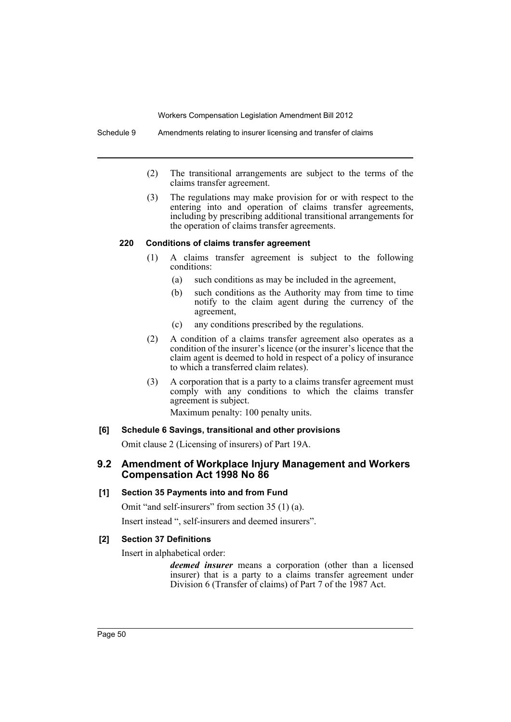Schedule 9 Amendments relating to insurer licensing and transfer of claims

- (2) The transitional arrangements are subject to the terms of the claims transfer agreement.
- (3) The regulations may make provision for or with respect to the entering into and operation of claims transfer agreements, including by prescribing additional transitional arrangements for the operation of claims transfer agreements.

### **220 Conditions of claims transfer agreement**

- (1) A claims transfer agreement is subject to the following conditions:
	- (a) such conditions as may be included in the agreement,
	- (b) such conditions as the Authority may from time to time notify to the claim agent during the currency of the agreement,
	- (c) any conditions prescribed by the regulations.
- (2) A condition of a claims transfer agreement also operates as a condition of the insurer's licence (or the insurer's licence that the claim agent is deemed to hold in respect of a policy of insurance to which a transferred claim relates).
- (3) A corporation that is a party to a claims transfer agreement must comply with any conditions to which the claims transfer agreement is subject.

Maximum penalty: 100 penalty units.

### **[6] Schedule 6 Savings, transitional and other provisions**

Omit clause 2 (Licensing of insurers) of Part 19A.

### **9.2 Amendment of Workplace Injury Management and Workers Compensation Act 1998 No 86**

### **[1] Section 35 Payments into and from Fund**

Omit "and self-insurers" from section 35 (1) (a).

Insert instead ", self-insurers and deemed insurers".

### **[2] Section 37 Definitions**

Insert in alphabetical order:

*deemed insurer* means a corporation (other than a licensed insurer) that is a party to a claims transfer agreement under Division 6 (Transfer of claims) of Part 7 of the 1987 Act.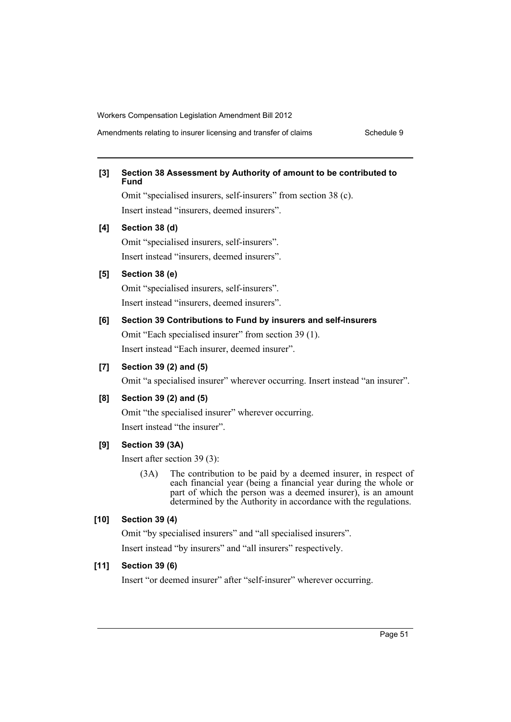Amendments relating to insurer licensing and transfer of claims Schedule 9

### **[3] Section 38 Assessment by Authority of amount to be contributed to Fund**

Omit "specialised insurers, self-insurers" from section 38 (c). Insert instead "insurers, deemed insurers".

#### **[4] Section 38 (d)**

Omit "specialised insurers, self-insurers". Insert instead "insurers, deemed insurers".

#### **[5] Section 38 (e)**

Omit "specialised insurers, self-insurers". Insert instead "insurers, deemed insurers".

### **[6] Section 39 Contributions to Fund by insurers and self-insurers**

Omit "Each specialised insurer" from section 39 (1). Insert instead "Each insurer, deemed insurer".

### **[7] Section 39 (2) and (5)**

Omit "a specialised insurer" wherever occurring. Insert instead "an insurer".

### **[8] Section 39 (2) and (5)**

Omit "the specialised insurer" wherever occurring. Insert instead "the insurer".

### **[9] Section 39 (3A)**

Insert after section 39 (3):

(3A) The contribution to be paid by a deemed insurer, in respect of each financial year (being a financial year during the whole or part of which the person was a deemed insurer), is an amount determined by the Authority in accordance with the regulations.

### **[10] Section 39 (4)**

Omit "by specialised insurers" and "all specialised insurers". Insert instead "by insurers" and "all insurers" respectively.

#### **[11] Section 39 (6)**

Insert "or deemed insurer" after "self-insurer" wherever occurring.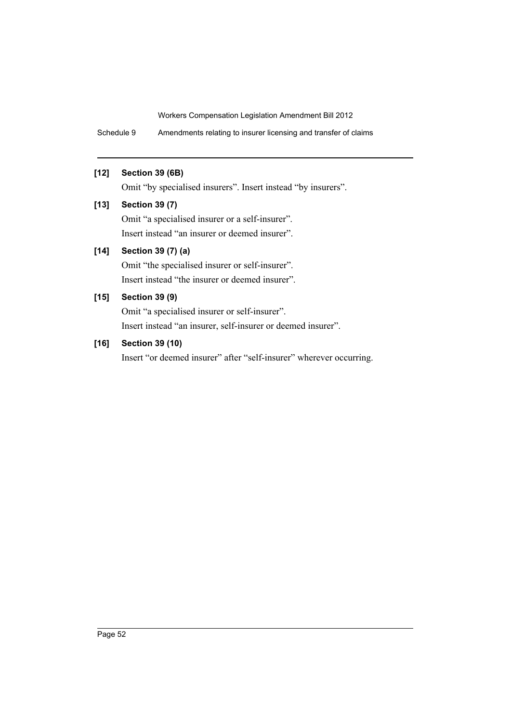Schedule 9 Amendments relating to insurer licensing and transfer of claims

### **[12] Section 39 (6B)**

Omit "by specialised insurers". Insert instead "by insurers".

### **[13] Section 39 (7)**

Omit "a specialised insurer or a self-insurer". Insert instead "an insurer or deemed insurer".

### **[14] Section 39 (7) (a)**

Omit "the specialised insurer or self-insurer". Insert instead "the insurer or deemed insurer".

# **[15] Section 39 (9)**

Omit "a specialised insurer or self-insurer". Insert instead "an insurer, self-insurer or deemed insurer".

### **[16] Section 39 (10)**

Insert "or deemed insurer" after "self-insurer" wherever occurring.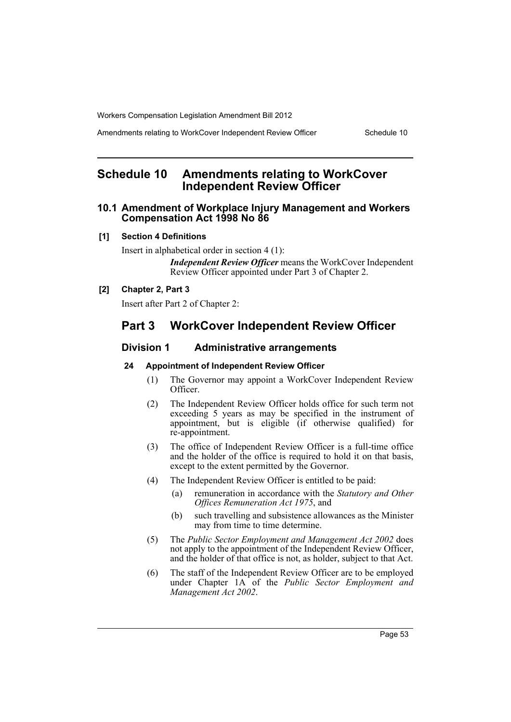Amendments relating to WorkCover Independent Review Officer Schedule 10

# <span id="page-54-0"></span>**Schedule 10 Amendments relating to WorkCover Independent Review Officer**

### **10.1 Amendment of Workplace Injury Management and Workers Compensation Act 1998 No 86**

#### **[1] Section 4 Definitions**

Insert in alphabetical order in section 4 (1):

*Independent Review Officer* means the WorkCover Independent Review Officer appointed under Part 3 of Chapter 2.

### **[2] Chapter 2, Part 3**

Insert after Part 2 of Chapter 2:

# **Part 3 WorkCover Independent Review Officer**

### **Division 1 Administrative arrangements**

#### **24 Appointment of Independent Review Officer**

- (1) The Governor may appoint a WorkCover Independent Review Officer.
- (2) The Independent Review Officer holds office for such term not exceeding 5 years as may be specified in the instrument of appointment, but is eligible (if otherwise qualified) for re-appointment.
- (3) The office of Independent Review Officer is a full-time office and the holder of the office is required to hold it on that basis, except to the extent permitted by the Governor.
- (4) The Independent Review Officer is entitled to be paid:
	- (a) remuneration in accordance with the *Statutory and Other Offices Remuneration Act 1975*, and
	- (b) such travelling and subsistence allowances as the Minister may from time to time determine.
- (5) The *Public Sector Employment and Management Act 2002* does not apply to the appointment of the Independent Review Officer, and the holder of that office is not, as holder, subject to that Act.
- (6) The staff of the Independent Review Officer are to be employed under Chapter 1A of the *Public Sector Employment and Management Act 2002*.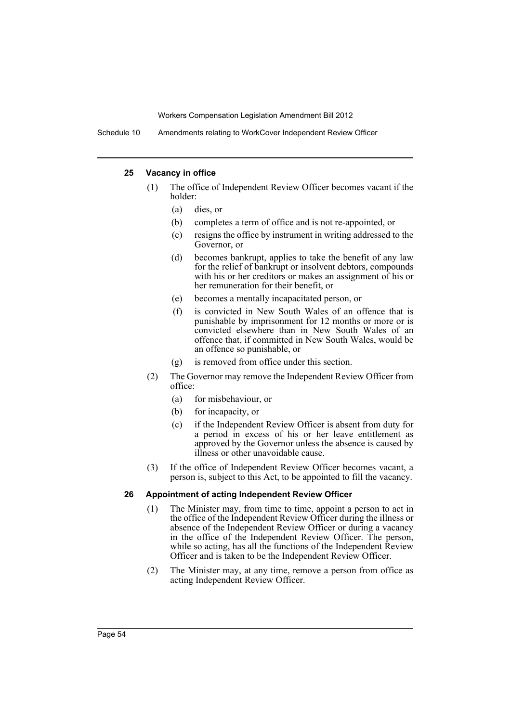Schedule 10 Amendments relating to WorkCover Independent Review Officer

#### **25 Vacancy in office**

- (1) The office of Independent Review Officer becomes vacant if the holder:
	- (a) dies, or
	- (b) completes a term of office and is not re-appointed, or
	- (c) resigns the office by instrument in writing addressed to the Governor, or
	- (d) becomes bankrupt, applies to take the benefit of any law for the relief of bankrupt or insolvent debtors, compounds with his or her creditors or makes an assignment of his or her remuneration for their benefit, or
	- (e) becomes a mentally incapacitated person, or
	- (f) is convicted in New South Wales of an offence that is punishable by imprisonment for 12 months or more or is convicted elsewhere than in New South Wales of an offence that, if committed in New South Wales, would be an offence so punishable, or
	- (g) is removed from office under this section.
- (2) The Governor may remove the Independent Review Officer from office:
	- (a) for misbehaviour, or
	- (b) for incapacity, or
	- (c) if the Independent Review Officer is absent from duty for a period in excess of his or her leave entitlement as approved by the Governor unless the absence is caused by illness or other unavoidable cause.
- (3) If the office of Independent Review Officer becomes vacant, a person is, subject to this Act, to be appointed to fill the vacancy.

#### **26 Appointment of acting Independent Review Officer**

- (1) The Minister may, from time to time, appoint a person to act in the office of the Independent Review Officer during the illness or absence of the Independent Review Officer or during a vacancy in the office of the Independent Review Officer. The person, while so acting, has all the functions of the Independent Review Officer and is taken to be the Independent Review Officer.
- (2) The Minister may, at any time, remove a person from office as acting Independent Review Officer.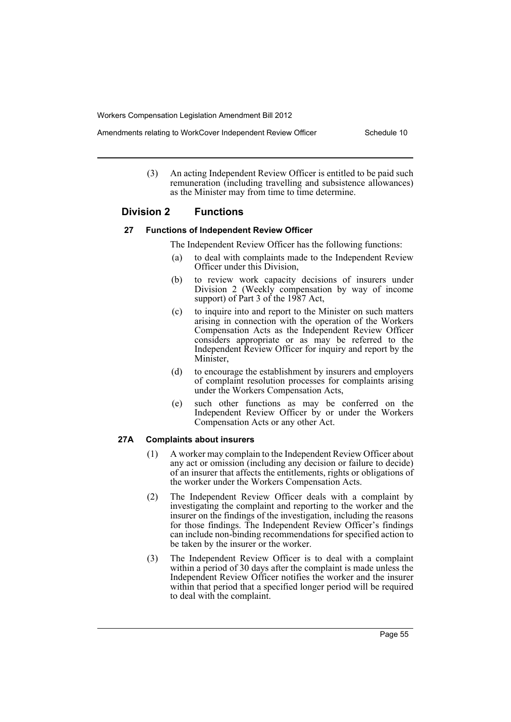- Amendments relating to WorkCover Independent Review Officer Schedule 10
	- (3) An acting Independent Review Officer is entitled to be paid such remuneration (including travelling and subsistence allowances) as the Minister may from time to time determine.

### **Division 2 Functions**

#### **27 Functions of Independent Review Officer**

The Independent Review Officer has the following functions:

- (a) to deal with complaints made to the Independent Review Officer under this Division,
- (b) to review work capacity decisions of insurers under Division 2 (Weekly compensation by way of income support) of Part 3 of the 1987 Act,
- (c) to inquire into and report to the Minister on such matters arising in connection with the operation of the Workers Compensation Acts as the Independent Review Officer considers appropriate or as may be referred to the Independent Review Officer for inquiry and report by the Minister,
- (d) to encourage the establishment by insurers and employers of complaint resolution processes for complaints arising under the Workers Compensation Acts,
- (e) such other functions as may be conferred on the Independent Review Officer by or under the Workers Compensation Acts or any other Act.

### **27A Complaints about insurers**

- (1) A worker may complain to the Independent Review Officer about any act or omission (including any decision or failure to decide) of an insurer that affects the entitlements, rights or obligations of the worker under the Workers Compensation Acts.
- (2) The Independent Review Officer deals with a complaint by investigating the complaint and reporting to the worker and the insurer on the findings of the investigation, including the reasons for those findings. The Independent Review Officer's findings can include non-binding recommendations for specified action to be taken by the insurer or the worker.
- (3) The Independent Review Officer is to deal with a complaint within a period of 30 days after the complaint is made unless the Independent Review Officer notifies the worker and the insurer within that period that a specified longer period will be required to deal with the complaint.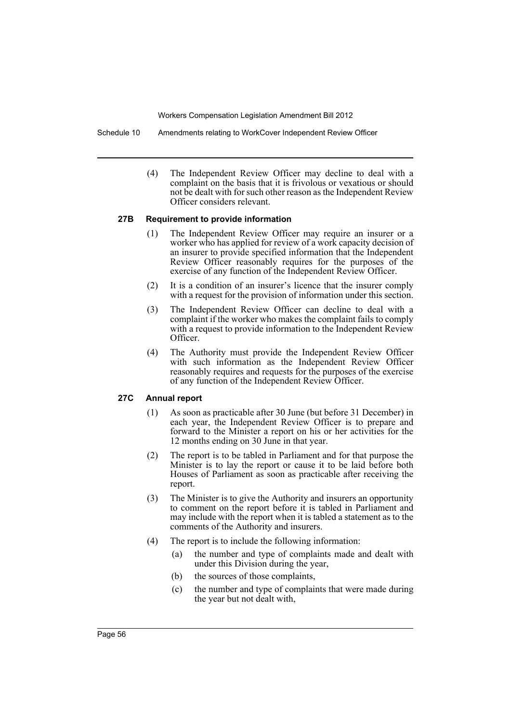Schedule 10 Amendments relating to WorkCover Independent Review Officer

(4) The Independent Review Officer may decline to deal with a complaint on the basis that it is frivolous or vexatious or should not be dealt with for such other reason as the Independent Review Officer considers relevant.

#### **27B Requirement to provide information**

- (1) The Independent Review Officer may require an insurer or a worker who has applied for review of a work capacity decision of an insurer to provide specified information that the Independent Review Officer reasonably requires for the purposes of the exercise of any function of the Independent Review Officer.
- (2) It is a condition of an insurer's licence that the insurer comply with a request for the provision of information under this section.
- (3) The Independent Review Officer can decline to deal with a complaint if the worker who makes the complaint fails to comply with a request to provide information to the Independent Review Officer.
- (4) The Authority must provide the Independent Review Officer with such information as the Independent Review Officer reasonably requires and requests for the purposes of the exercise of any function of the Independent Review Officer.

### **27C Annual report**

- (1) As soon as practicable after 30 June (but before 31 December) in each year, the Independent Review Officer is to prepare and forward to the Minister a report on his or her activities for the 12 months ending on 30 June in that year.
- (2) The report is to be tabled in Parliament and for that purpose the Minister is to lay the report or cause it to be laid before both Houses of Parliament as soon as practicable after receiving the report.
- (3) The Minister is to give the Authority and insurers an opportunity to comment on the report before it is tabled in Parliament and may include with the report when it is tabled a statement as to the comments of the Authority and insurers.
- (4) The report is to include the following information:
	- (a) the number and type of complaints made and dealt with under this Division during the year,
	- (b) the sources of those complaints,
	- (c) the number and type of complaints that were made during the year but not dealt with,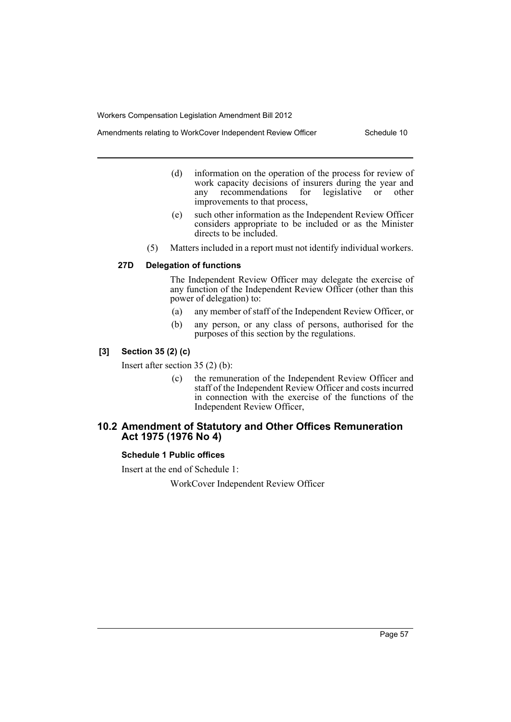- Amendments relating to WorkCover Independent Review Officer Schedule 10
	- (d) information on the operation of the process for review of work capacity decisions of insurers during the year and any recommendations for legislative or other improvements to that process,
	- (e) such other information as the Independent Review Officer considers appropriate to be included or as the Minister directs to be included.
	- (5) Matters included in a report must not identify individual workers.

### **27D Delegation of functions**

The Independent Review Officer may delegate the exercise of any function of the Independent Review Officer (other than this power of delegation) to:

- (a) any member of staff of the Independent Review Officer, or
- (b) any person, or any class of persons, authorised for the purposes of this section by the regulations.

### **[3] Section 35 (2) (c)**

Insert after section 35 (2) (b):

(c) the remuneration of the Independent Review Officer and staff of the Independent Review Officer and costs incurred in connection with the exercise of the functions of the Independent Review Officer,

### **10.2 Amendment of Statutory and Other Offices Remuneration Act 1975 (1976 No 4)**

### **Schedule 1 Public offices**

Insert at the end of Schedule 1:

WorkCover Independent Review Officer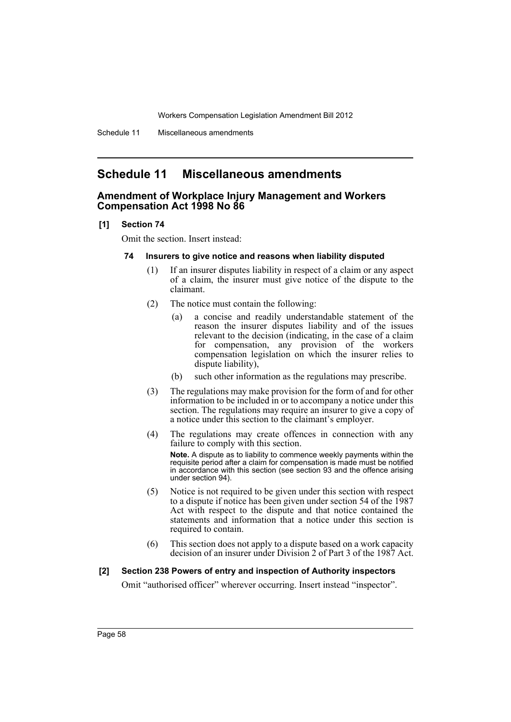# <span id="page-59-0"></span>**Schedule 11 Miscellaneous amendments**

### **Amendment of Workplace Injury Management and Workers Compensation Act 1998 No 86**

#### **[1] Section 74**

Omit the section. Insert instead:

#### **74 Insurers to give notice and reasons when liability disputed**

- (1) If an insurer disputes liability in respect of a claim or any aspect of a claim, the insurer must give notice of the dispute to the claimant.
- (2) The notice must contain the following:
	- (a) a concise and readily understandable statement of the reason the insurer disputes liability and of the issues relevant to the decision (indicating, in the case of a claim for compensation, any provision of the workers compensation legislation on which the insurer relies to dispute liability),
	- (b) such other information as the regulations may prescribe.
- (3) The regulations may make provision for the form of and for other information to be included in or to accompany a notice under this section. The regulations may require an insurer to give a copy of a notice under this section to the claimant's employer.
- (4) The regulations may create offences in connection with any failure to comply with this section. **Note.** A dispute as to liability to commence weekly payments within the requisite period after a claim for compensation is made must be notified in accordance with this section (see section 93 and the offence arising under section 94).
- (5) Notice is not required to be given under this section with respect to a dispute if notice has been given under section 54 of the 1987 Act with respect to the dispute and that notice contained the statements and information that a notice under this section is required to contain.
- (6) This section does not apply to a dispute based on a work capacity decision of an insurer under Division 2 of Part 3 of the 1987 Act.

#### **[2] Section 238 Powers of entry and inspection of Authority inspectors**

Omit "authorised officer" wherever occurring. Insert instead "inspector".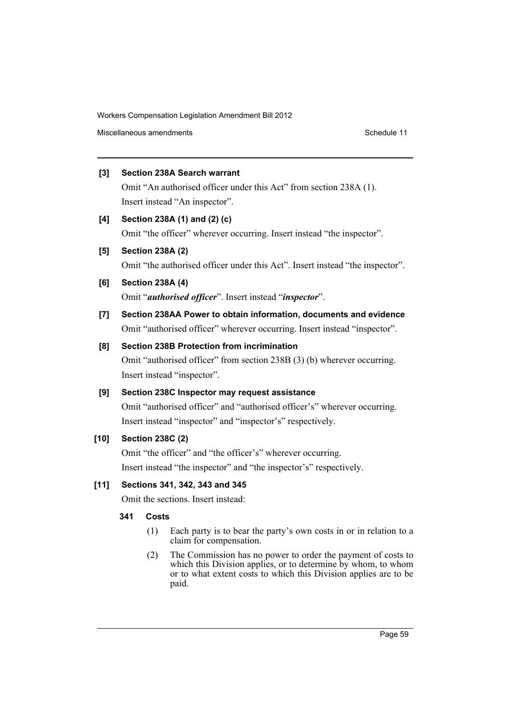Miscellaneous amendments **Schedule 11** and the Schedule 11 and the Schedule 11

### **[3] Section 238A Search warrant**

Omit "An authorised officer under this Act" from section 238A (1). Insert instead "An inspector".

### **[4] Section 238A (1) and (2) (c)**

Omit "the officer" wherever occurring. Insert instead "the inspector".

### **[5] Section 238A (2)**

Omit "the authorised officer under this Act". Insert instead "the inspector".

**[6] Section 238A (4)**

Omit "*authorised officer*". Insert instead "*inspector*".

**[7] Section 238AA Power to obtain information, documents and evidence** Omit "authorised officer" wherever occurring. Insert instead "inspector".

### **[8] Section 238B Protection from incrimination**

Omit "authorised officer" from section 238B (3) (b) wherever occurring. Insert instead "inspector".

### **[9] Section 238C Inspector may request assistance**

Omit "authorised officer" and "authorised officer's" wherever occurring. Insert instead "inspector" and "inspector's" respectively.

### **[10] Section 238C (2)**

Omit "the officer" and "the officer's" wherever occurring. Insert instead "the inspector" and "the inspector's" respectively.

### **[11] Sections 341, 342, 343 and 345**

Omit the sections. Insert instead:

### **341 Costs**

- (1) Each party is to bear the party's own costs in or in relation to a claim for compensation.
- (2) The Commission has no power to order the payment of costs to which this Division applies, or to determine by whom, to whom or to what extent costs to which this Division applies are to be paid.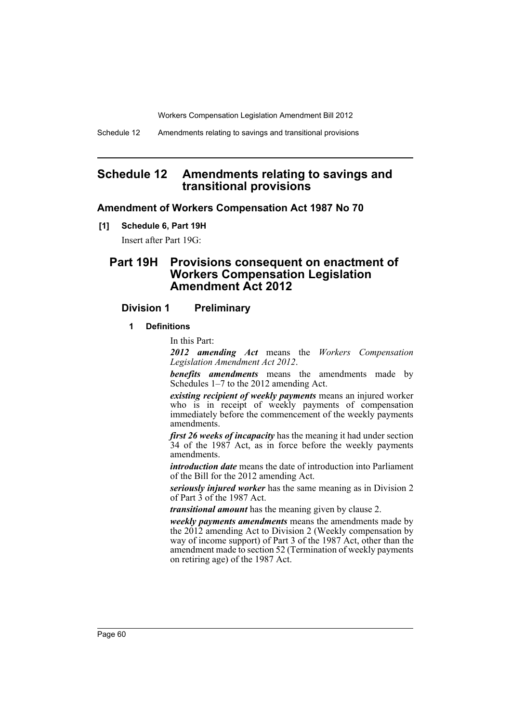# <span id="page-61-0"></span>**Schedule 12 Amendments relating to savings and transitional provisions**

### **Amendment of Workers Compensation Act 1987 No 70**

**[1] Schedule 6, Part 19H**

Insert after Part 19G:

# **Part 19H Provisions consequent on enactment of Workers Compensation Legislation Amendment Act 2012**

### **Division 1 Preliminary**

#### **1 Definitions**

In this Part:

*2012 amending Act* means the *Workers Compensation Legislation Amendment Act 2012*.

*benefits amendments* means the amendments made by Schedules 1–7 to the 2012 amending Act.

*existing recipient of weekly payments* means an injured worker who is in receipt of weekly payments of compensation immediately before the commencement of the weekly payments amendments.

*first 26 weeks of incapacity* has the meaning it had under section 34 of the 1987 Act, as in force before the weekly payments amendments.

*introduction date* means the date of introduction into Parliament of the Bill for the 2012 amending Act.

*seriously injured worker* has the same meaning as in Division 2 of Part 3 of the 1987 Act.

*transitional amount* has the meaning given by clause 2.

*weekly payments amendments* means the amendments made by the 2012 amending Act to Division 2 (Weekly compensation by way of income support) of Part 3 of the 1987 Act, other than the amendment made to section 52 (Termination of weekly payments on retiring age) of the 1987 Act.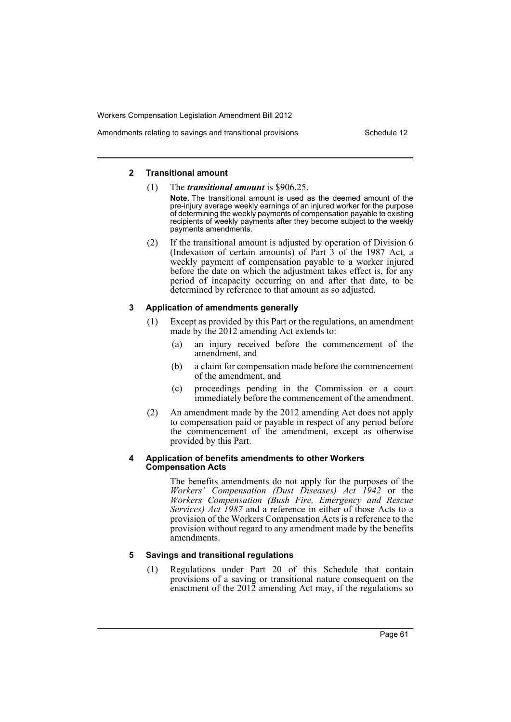### Amendments relating to savings and transitional provisions Theorem Schedule 12

#### **2 Transitional amount**

- (1) The *transitional amount* is \$906.25.
	- **Note.** The transitional amount is used as the deemed amount of the pre-injury average weekly earnings of an injured worker for the purpose of determining the weekly payments of compensation payable to existing recipients of weekly payments after they become subject to the weekly payments amendments.
- (2) If the transitional amount is adjusted by operation of Division 6 (Indexation of certain amounts) of Part 3 of the 1987 Act, a weekly payment of compensation payable to a worker injured before the date on which the adjustment takes effect is, for any period of incapacity occurring on and after that date, to be determined by reference to that amount as so adjusted.

### **3 Application of amendments generally**

- (1) Except as provided by this Part or the regulations, an amendment made by the 2012 amending Act extends to:
	- (a) an injury received before the commencement of the amendment, and
	- (b) a claim for compensation made before the commencement of the amendment, and
	- (c) proceedings pending in the Commission or a court immediately before the commencement of the amendment.
- (2) An amendment made by the 2012 amending Act does not apply to compensation paid or payable in respect of any period before the commencement of the amendment, except as otherwise provided by this Part.

#### **4 Application of benefits amendments to other Workers Compensation Acts**

The benefits amendments do not apply for the purposes of the *Workers' Compensation (Dust Diseases) Act 1942* or the *Workers Compensation (Bush Fire, Emergency and Rescue Services) Act 1987* and a reference in either of those Acts to a provision of the Workers Compensation Acts is a reference to the provision without regard to any amendment made by the benefits amendments.

### **5 Savings and transitional regulations**

(1) Regulations under Part 20 of this Schedule that contain provisions of a saving or transitional nature consequent on the enactment of the 2012 amending Act may, if the regulations so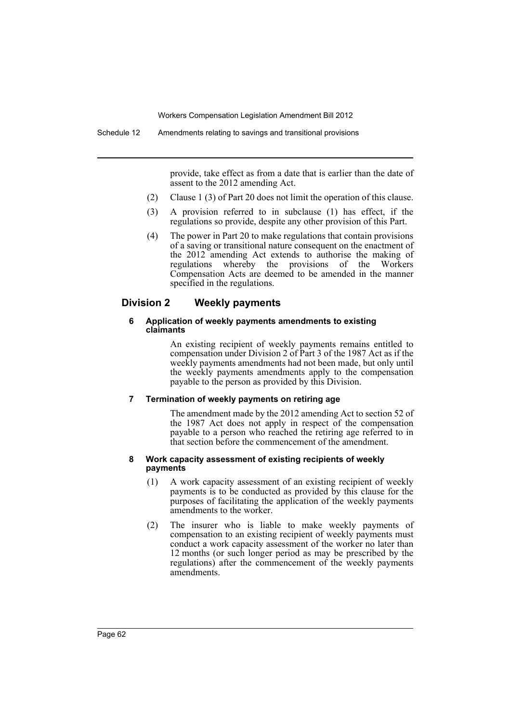provide, take effect as from a date that is earlier than the date of assent to the 2012 amending Act.

- (2) Clause 1 (3) of Part 20 does not limit the operation of this clause.
- (3) A provision referred to in subclause (1) has effect, if the regulations so provide, despite any other provision of this Part.
- (4) The power in Part 20 to make regulations that contain provisions of a saving or transitional nature consequent on the enactment of the 2012 amending Act extends to authorise the making of regulations whereby the provisions of the Workers Compensation Acts are deemed to be amended in the manner specified in the regulations.

### **Division 2 Weekly payments**

#### **6 Application of weekly payments amendments to existing claimants**

An existing recipient of weekly payments remains entitled to compensation under Division 2 of Part 3 of the 1987 Act as if the weekly payments amendments had not been made, but only until the weekly payments amendments apply to the compensation payable to the person as provided by this Division.

#### **7 Termination of weekly payments on retiring age**

The amendment made by the 2012 amending Act to section 52 of the 1987 Act does not apply in respect of the compensation payable to a person who reached the retiring age referred to in that section before the commencement of the amendment.

#### **8 Work capacity assessment of existing recipients of weekly payments**

- (1) A work capacity assessment of an existing recipient of weekly payments is to be conducted as provided by this clause for the purposes of facilitating the application of the weekly payments amendments to the worker.
- (2) The insurer who is liable to make weekly payments of compensation to an existing recipient of weekly payments must conduct a work capacity assessment of the worker no later than 12 months (or such longer period as may be prescribed by the regulations) after the commencement of the weekly payments amendments.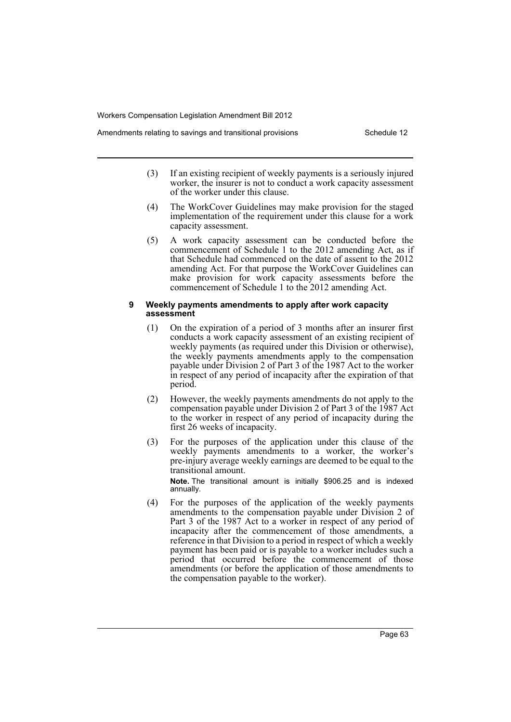- Amendments relating to savings and transitional provisions Theorem Schedule 12
	- (3) If an existing recipient of weekly payments is a seriously injured worker, the insurer is not to conduct a work capacity assessment of the worker under this clause.
	- (4) The WorkCover Guidelines may make provision for the staged implementation of the requirement under this clause for a work capacity assessment.
	- (5) A work capacity assessment can be conducted before the commencement of Schedule 1 to the 2012 amending Act, as if that Schedule had commenced on the date of assent to the 2012 amending Act. For that purpose the WorkCover Guidelines can make provision for work capacity assessments before the commencement of Schedule 1 to the 2012 amending Act.

#### **9 Weekly payments amendments to apply after work capacity assessment**

- (1) On the expiration of a period of 3 months after an insurer first conducts a work capacity assessment of an existing recipient of weekly payments (as required under this Division or otherwise), the weekly payments amendments apply to the compensation payable under Division 2 of Part 3 of the 1987 Act to the worker in respect of any period of incapacity after the expiration of that period.
- (2) However, the weekly payments amendments do not apply to the compensation payable under Division 2 of Part 3 of the 1987 Act to the worker in respect of any period of incapacity during the first 26 weeks of incapacity.
- (3) For the purposes of the application under this clause of the weekly payments amendments to a worker, the worker's pre-injury average weekly earnings are deemed to be equal to the transitional amount.

**Note.** The transitional amount is initially \$906.25 and is indexed annually.

(4) For the purposes of the application of the weekly payments amendments to the compensation payable under Division 2 of Part 3 of the 1987 Act to a worker in respect of any period of incapacity after the commencement of those amendments, a reference in that Division to a period in respect of which a weekly payment has been paid or is payable to a worker includes such a period that occurred before the commencement of those amendments (or before the application of those amendments to the compensation payable to the worker).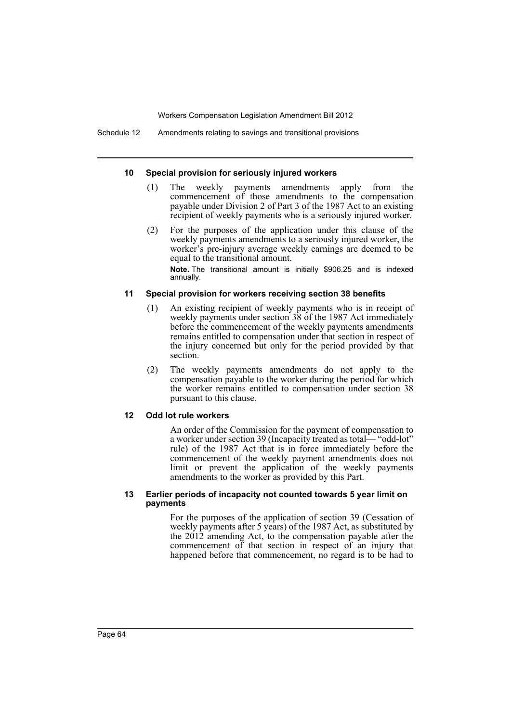#### **10 Special provision for seriously injured workers**

- (1) The weekly payments amendments apply from the commencement of those amendments to the compensation payable under Division 2 of Part 3 of the 1987 Act to an existing recipient of weekly payments who is a seriously injured worker.
- (2) For the purposes of the application under this clause of the weekly payments amendments to a seriously injured worker, the worker's pre-injury average weekly earnings are deemed to be equal to the transitional amount.

**Note.** The transitional amount is initially \$906.25 and is indexed annually.

#### **11 Special provision for workers receiving section 38 benefits**

- (1) An existing recipient of weekly payments who is in receipt of weekly payments under section 38 of the 1987 Act immediately before the commencement of the weekly payments amendments remains entitled to compensation under that section in respect of the injury concerned but only for the period provided by that section.
- (2) The weekly payments amendments do not apply to the compensation payable to the worker during the period for which the worker remains entitled to compensation under section 38 pursuant to this clause.

#### **12 Odd lot rule workers**

An order of the Commission for the payment of compensation to a worker under section 39 (Incapacity treated as total— "odd-lot" rule) of the 1987 Act that is in force immediately before the commencement of the weekly payment amendments does not limit or prevent the application of the weekly payments amendments to the worker as provided by this Part.

#### **13 Earlier periods of incapacity not counted towards 5 year limit on payments**

For the purposes of the application of section 39 (Cessation of weekly payments after 5 years) of the 1987 Act, as substituted by the 2012 amending Act, to the compensation payable after the commencement of that section in respect of an injury that happened before that commencement, no regard is to be had to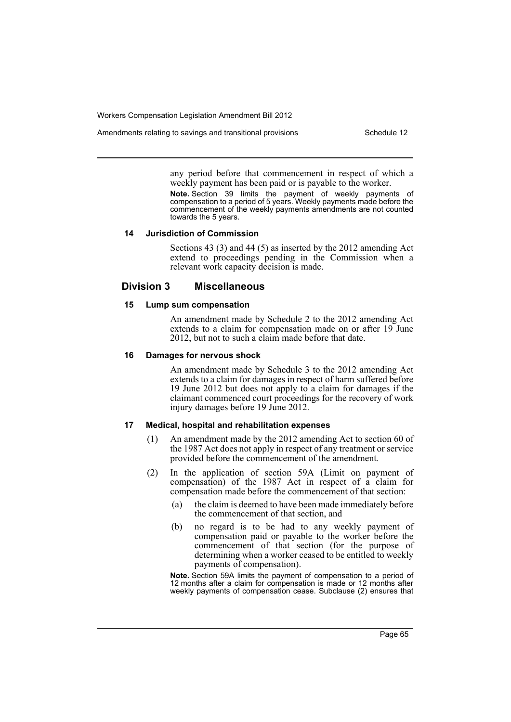Amendments relating to savings and transitional provisions Theorem Schedule 12

any period before that commencement in respect of which a weekly payment has been paid or is payable to the worker.

**Note.** Section 39 limits the payment of weekly payments of compensation to a period of 5 years. Weekly payments made before the commencement of the weekly payments amendments are not counted towards the 5 years.

#### **14 Jurisdiction of Commission**

Sections 43 (3) and 44 (5) as inserted by the 2012 amending Act extend to proceedings pending in the Commission when a relevant work capacity decision is made.

### **Division 3 Miscellaneous**

#### **15 Lump sum compensation**

An amendment made by Schedule 2 to the 2012 amending Act extends to a claim for compensation made on or after 19 June 2012, but not to such a claim made before that date.

#### **16 Damages for nervous shock**

An amendment made by Schedule 3 to the 2012 amending Act extends to a claim for damages in respect of harm suffered before 19 June 2012 but does not apply to a claim for damages if the claimant commenced court proceedings for the recovery of work injury damages before 19 June 2012.

#### **17 Medical, hospital and rehabilitation expenses**

- (1) An amendment made by the 2012 amending Act to section 60 of the 1987 Act does not apply in respect of any treatment or service provided before the commencement of the amendment.
- (2) In the application of section 59A (Limit on payment of compensation) of the 1987 Act in respect of a claim for compensation made before the commencement of that section:
	- (a) the claim is deemed to have been made immediately before the commencement of that section, and
	- (b) no regard is to be had to any weekly payment of compensation paid or payable to the worker before the commencement of that section (for the purpose of determining when a worker ceased to be entitled to weekly payments of compensation).

**Note.** Section 59A limits the payment of compensation to a period of 12 months after a claim for compensation is made or 12 months after weekly payments of compensation cease. Subclause (2) ensures that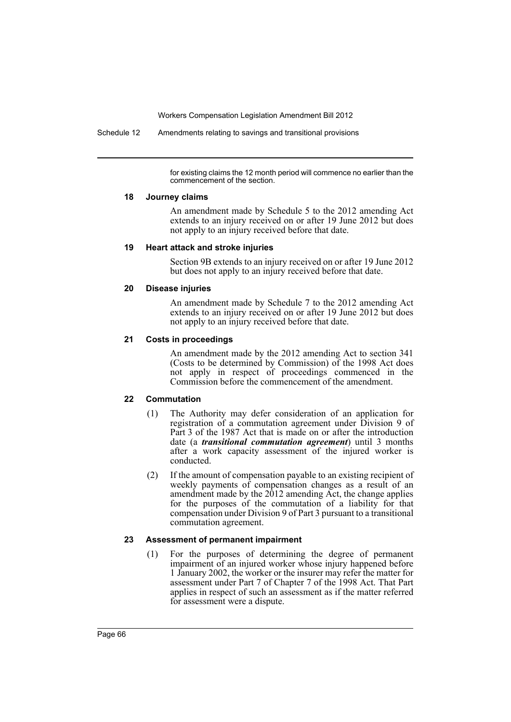Schedule 12 Amendments relating to savings and transitional provisions

for existing claims the 12 month period will commence no earlier than the commencement of the section.

#### **18 Journey claims**

An amendment made by Schedule 5 to the 2012 amending Act extends to an injury received on or after 19 June 2012 but does not apply to an injury received before that date.

#### **19 Heart attack and stroke injuries**

Section 9B extends to an injury received on or after 19 June 2012 but does not apply to an injury received before that date.

### **20 Disease injuries**

An amendment made by Schedule 7 to the 2012 amending Act extends to an injury received on or after 19 June 2012 but does not apply to an injury received before that date.

### **21 Costs in proceedings**

An amendment made by the 2012 amending Act to section 341 (Costs to be determined by Commission) of the 1998 Act does not apply in respect of proceedings commenced in the Commission before the commencement of the amendment.

### **22 Commutation**

- (1) The Authority may defer consideration of an application for registration of a commutation agreement under Division 9 of Part 3 of the 1987 Act that is made on or after the introduction date (a *transitional commutation agreement*) until 3 months after a work capacity assessment of the injured worker is conducted.
- (2) If the amount of compensation payable to an existing recipient of weekly payments of compensation changes as a result of an amendment made by the  $2012$  amending Act, the change applies for the purposes of the commutation of a liability for that compensation under Division 9 of Part 3 pursuant to a transitional commutation agreement.

#### **23 Assessment of permanent impairment**

(1) For the purposes of determining the degree of permanent impairment of an injured worker whose injury happened before 1 January 2002, the worker or the insurer may refer the matter for assessment under Part 7 of Chapter 7 of the 1998 Act. That Part applies in respect of such an assessment as if the matter referred for assessment were a dispute.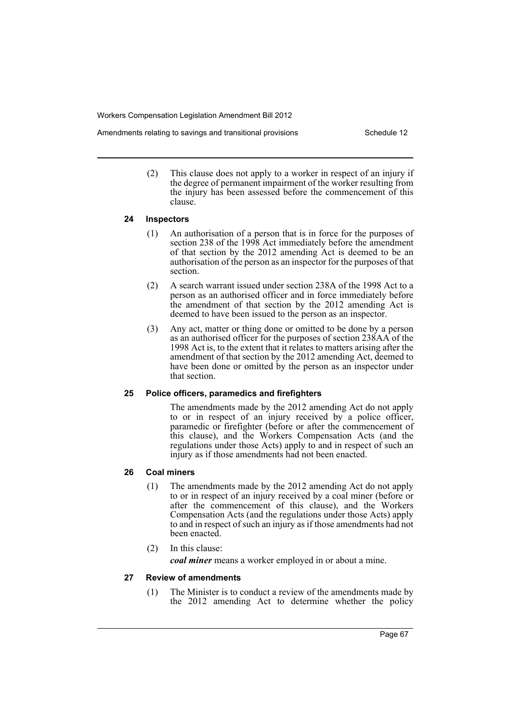- Amendments relating to savings and transitional provisions Theorem Schedule 12
	- (2) This clause does not apply to a worker in respect of an injury if the degree of permanent impairment of the worker resulting from the injury has been assessed before the commencement of this clause.

#### **24 Inspectors**

- (1) An authorisation of a person that is in force for the purposes of section 238 of the 1998 Act immediately before the amendment of that section by the 2012 amending Act is deemed to be an authorisation of the person as an inspector for the purposes of that section.
- (2) A search warrant issued under section 238A of the 1998 Act to a person as an authorised officer and in force immediately before the amendment of that section by the 2012 amending Act is deemed to have been issued to the person as an inspector.
- (3) Any act, matter or thing done or omitted to be done by a person as an authorised officer for the purposes of section 238AA of the 1998 Act is, to the extent that it relates to matters arising after the amendment of that section by the 2012 amending Act, deemed to have been done or omitted by the person as an inspector under that section.

### **25 Police officers, paramedics and firefighters**

The amendments made by the 2012 amending Act do not apply to or in respect of an injury received by a police officer, paramedic or firefighter (before or after the commencement of this clause), and the Workers Compensation Acts (and the regulations under those Acts) apply to and in respect of such an injury as if those amendments had not been enacted.

### **26 Coal miners**

- (1) The amendments made by the 2012 amending Act do not apply to or in respect of an injury received by a coal miner (before or after the commencement of this clause), and the Workers Compensation Acts (and the regulations under those Acts) apply to and in respect of such an injury as if those amendments had not been enacted.
- (2) In this clause:

*coal miner* means a worker employed in or about a mine.

### **27 Review of amendments**

(1) The Minister is to conduct a review of the amendments made by the 2012 amending Act to determine whether the policy